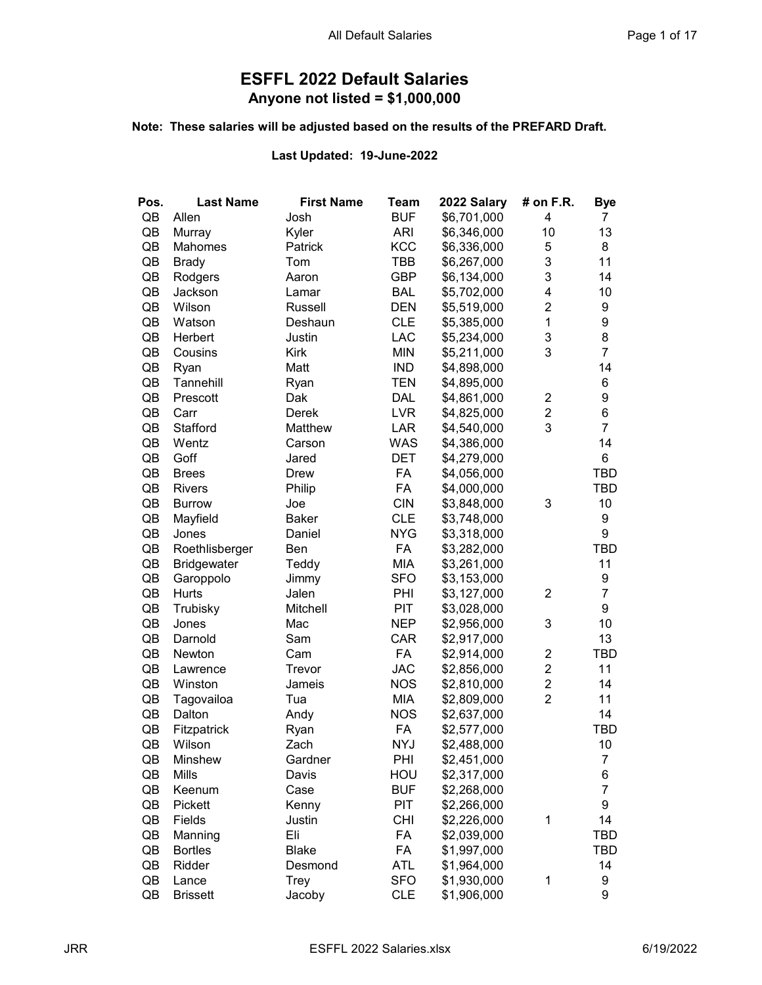## ESFFL 2022 Default Salaries Anyone not listed = \$1,000,000

## Note: These salaries will be adjusted based on the results of the PREFARD Draft.

## Last Updated: 19-June-2022

| Pos. | <b>Last Name</b>   | <b>First Name</b> | Team       | 2022 Salary | # on F.R.               | <b>Bye</b>       |
|------|--------------------|-------------------|------------|-------------|-------------------------|------------------|
| QB   | Allen              | Josh              | <b>BUF</b> | \$6,701,000 | 4                       | 7                |
| QB   | Murray             | Kyler             | <b>ARI</b> | \$6,346,000 | 10                      | 13               |
| QB   | Mahomes            | Patrick           | KCC        | \$6,336,000 | 5                       | 8                |
| QB   | <b>Brady</b>       | Tom               | <b>TBB</b> | \$6,267,000 | 3                       | 11               |
| QB   | Rodgers            | Aaron             | <b>GBP</b> | \$6,134,000 | 3                       | 14               |
| QB   | Jackson            | Lamar             | <b>BAL</b> | \$5,702,000 | 4                       | 10               |
| QB   | Wilson             | Russell           | <b>DEN</b> | \$5,519,000 | $\overline{2}$          | 9                |
| QB   | Watson             | Deshaun           | <b>CLE</b> | \$5,385,000 | $\mathbf{1}$            | $\boldsymbol{9}$ |
| QB   | Herbert            | Justin            | LAC        | \$5,234,000 | 3                       | 8                |
| QB   | Cousins            | <b>Kirk</b>       | <b>MIN</b> | \$5,211,000 | 3                       | $\overline{7}$   |
| QB   | Ryan               | Matt              | <b>IND</b> | \$4,898,000 |                         | 14               |
| QB   | Tannehill          | Ryan              | <b>TEN</b> | \$4,895,000 |                         | 6                |
| QB   | Prescott           | Dak               | <b>DAL</b> | \$4,861,000 | 2                       | 9                |
| QB   | Carr               | Derek             | <b>LVR</b> | \$4,825,000 | $\overline{\mathbf{c}}$ | 6                |
| QB   | Stafford           | Matthew           | LAR        | \$4,540,000 | 3                       | $\overline{7}$   |
| QB   | Wentz              | Carson            | <b>WAS</b> | \$4,386,000 |                         | 14               |
| QB   | Goff               | Jared             | <b>DET</b> | \$4,279,000 |                         | 6                |
| QB   | <b>Brees</b>       | Drew              | FA         | \$4,056,000 |                         | TBD              |
| QB   | <b>Rivers</b>      | Philip            | FA         | \$4,000,000 |                         | <b>TBD</b>       |
| QB   | <b>Burrow</b>      | Joe               | <b>CIN</b> | \$3,848,000 | 3                       | 10               |
| QB   | Mayfield           | <b>Baker</b>      | <b>CLE</b> | \$3,748,000 |                         | 9                |
| QB   | Jones              | Daniel            | <b>NYG</b> | \$3,318,000 |                         | 9                |
| QB   | Roethlisberger     | Ben               | FA         | \$3,282,000 |                         | <b>TBD</b>       |
| QB   | <b>Bridgewater</b> | Teddy             | <b>MIA</b> | \$3,261,000 |                         | 11               |
| QB   | Garoppolo          | Jimmy             | <b>SFO</b> | \$3,153,000 |                         | $\boldsymbol{9}$ |
| QB   | Hurts              | Jalen             | PHI        | \$3,127,000 | $\overline{c}$          | $\overline{7}$   |
| QB   | Trubisky           | Mitchell          | PIT        | \$3,028,000 |                         | 9                |
| QB   | Jones              | Mac               | <b>NEP</b> | \$2,956,000 | 3                       | 10               |
| QB   | Darnold            | Sam               | CAR        | \$2,917,000 |                         | 13               |
| QB   | Newton             | Cam               | FA         | \$2,914,000 | $\overline{\mathbf{c}}$ | <b>TBD</b>       |
| QB   | Lawrence           | Trevor            | <b>JAC</b> | \$2,856,000 | $\overline{c}$          | 11               |
| QB   | Winston            | Jameis            | <b>NOS</b> | \$2,810,000 | $\overline{\mathbf{c}}$ | 14               |
| QB   | Tagovailoa         | Tua               | MIA        | \$2,809,000 | $\overline{2}$          | 11               |
| QB   | Dalton             | Andy              | <b>NOS</b> | \$2,637,000 |                         | 14               |
| QB   | Fitzpatrick        | Ryan              | FA         | \$2,577,000 |                         | <b>TBD</b>       |
| QB   | Wilson             | Zach              | <b>NYJ</b> | \$2,488,000 |                         | 10               |
| QB   | Minshew            | Gardner           | PHI        | \$2,451,000 |                         | 7                |
| QB   | Mills              | Davis             | HOU        | \$2,317,000 |                         | 6                |
| QB   | Keenum             | Case              | <b>BUF</b> | \$2,268,000 |                         | $\overline{7}$   |
| QB   | <b>Pickett</b>     | Kenny             | <b>PIT</b> | \$2,266,000 |                         | 9                |
| QB   | Fields             | Justin            | <b>CHI</b> | \$2,226,000 | $\mathbf 1$             | 14               |
| QB   | Manning            | Eli               | FA         | \$2,039,000 |                         | TBD              |
| QB   | <b>Bortles</b>     | <b>Blake</b>      | FA         | \$1,997,000 |                         | TBD              |
| QB   | Ridder             | Desmond           | ATL        | \$1,964,000 |                         | 14               |
| QB   | Lance              | Trey              | <b>SFO</b> | \$1,930,000 | $\mathbf 1$             | 9                |
| QB   | <b>Brissett</b>    | Jacoby            | <b>CLE</b> | \$1,906,000 |                         | 9                |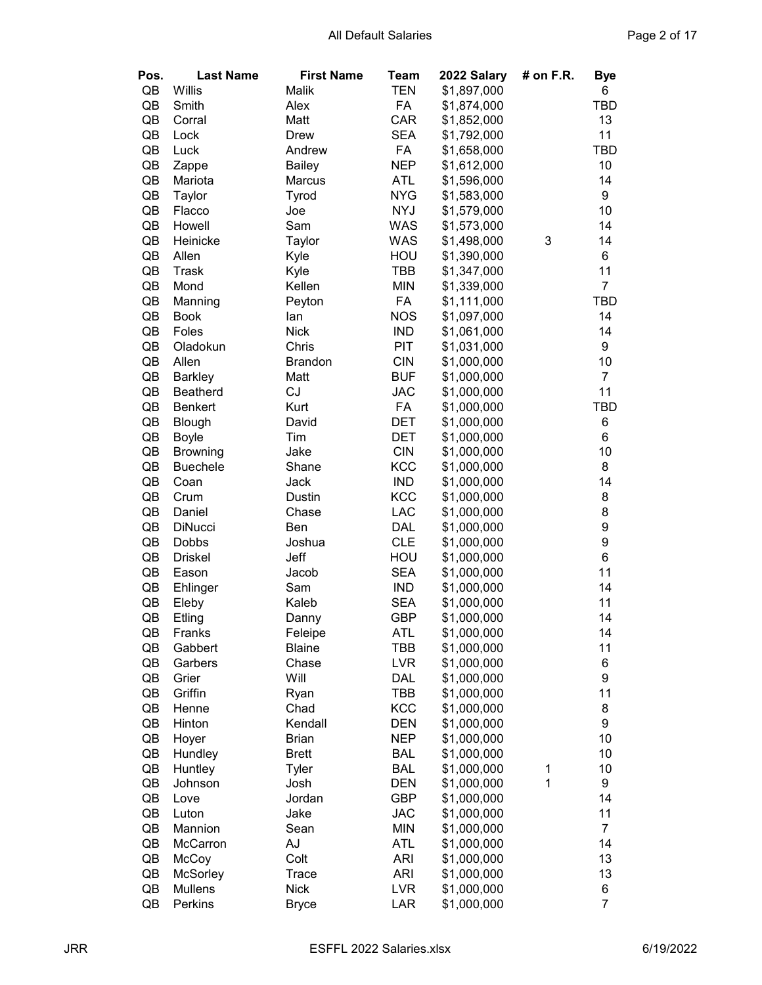| Pos. | <b>Last Name</b> | <b>First Name</b> | Team       | 2022 Salary | # on F.R.   | Bye            |
|------|------------------|-------------------|------------|-------------|-------------|----------------|
| QB   | Willis           | Malik             | <b>TEN</b> | \$1,897,000 |             | 6              |
| QB   | Smith            | Alex              | FA         | \$1,874,000 |             | TBD            |
| QB   | Corral           | Matt              | CAR        | \$1,852,000 |             | 13             |
| QB   | Lock             | <b>Drew</b>       | <b>SEA</b> | \$1,792,000 |             | 11             |
| QB   | Luck             | Andrew            | FA         | \$1,658,000 |             | <b>TBD</b>     |
| QB   | Zappe            | <b>Bailey</b>     | <b>NEP</b> | \$1,612,000 |             | 10             |
| QB   | Mariota          | Marcus            | <b>ATL</b> | \$1,596,000 |             | 14             |
| QB   | Taylor           | Tyrod             | <b>NYG</b> | \$1,583,000 |             | 9              |
| QB   | Flacco           | Joe               | <b>NYJ</b> | \$1,579,000 |             | 10             |
| QB   | Howell           | Sam               | <b>WAS</b> | \$1,573,000 |             | 14             |
| QB   | Heinicke         | Taylor            | <b>WAS</b> | \$1,498,000 | 3           | 14             |
| QB   | Allen            | Kyle              | HOU        | \$1,390,000 |             | 6              |
| QB   | Trask            | Kyle              | <b>TBB</b> | \$1,347,000 |             | 11             |
| QB   | Mond             | Kellen            | <b>MIN</b> | \$1,339,000 |             | $\overline{7}$ |
| QB   | Manning          | Peyton            | FA         | \$1,111,000 |             | <b>TBD</b>     |
| QB   | <b>Book</b>      | lan               | <b>NOS</b> | \$1,097,000 |             | 14             |
| QB   | Foles            | <b>Nick</b>       | <b>IND</b> | \$1,061,000 |             | 14             |
| QB   | Oladokun         | Chris             | PIT        | \$1,031,000 |             | 9              |
| QB   | Allen            | <b>Brandon</b>    | <b>CIN</b> | \$1,000,000 |             | 10             |
| QB   | <b>Barkley</b>   | Matt              | <b>BUF</b> | \$1,000,000 |             | $\overline{7}$ |
| QB   | <b>Beatherd</b>  | CJ                | <b>JAC</b> | \$1,000,000 |             | 11             |
| QB   | <b>Benkert</b>   | Kurt              | FA         | \$1,000,000 |             | <b>TBD</b>     |
| QB   | <b>Blough</b>    | David             | DET        | \$1,000,000 |             | 6              |
| QB   | <b>Boyle</b>     | Tim               | DET        | \$1,000,000 |             | 6              |
| QB   | <b>Browning</b>  | Jake              | <b>CIN</b> | \$1,000,000 |             | 10             |
| QB   | <b>Buechele</b>  | Shane             | KCC        | \$1,000,000 |             | 8              |
| QB   | Coan             | Jack              | <b>IND</b> | \$1,000,000 |             | 14             |
| QB   | Crum             | <b>Dustin</b>     | KCC        | \$1,000,000 |             | 8              |
| QB   | Daniel           | Chase             | LAC        | \$1,000,000 |             | 8              |
| QB   | <b>DiNucci</b>   | Ben               | DAL        | \$1,000,000 |             | 9              |
| QB   | Dobbs            | Joshua            | <b>CLE</b> | \$1,000,000 |             | 9              |
| QB   | <b>Driskel</b>   | Jeff              | HOU        | \$1,000,000 |             | $\,6$          |
| QB   | Eason            | Jacob             | <b>SEA</b> | \$1,000,000 |             | 11             |
| QB   | Ehlinger         | Sam               | <b>IND</b> | \$1,000,000 |             | 14             |
| QB   | Eleby            | Kaleb             | <b>SEA</b> | \$1,000,000 |             | 11             |
| QB   | Etling           | Danny             | GBP        | \$1,000,000 |             | 14             |
| QB   | Franks           | Feleipe           | ATL        | \$1,000,000 |             | 14             |
| QB   | Gabbert          | <b>Blaine</b>     | TBB        | \$1,000,000 |             | 11             |
| QB   | Garbers          | Chase             | <b>LVR</b> | \$1,000,000 |             | 6              |
| QB   | Grier            | Will              | DAL        | \$1,000,000 |             | 9              |
| QB   | Griffin          | Ryan              | TBB        | \$1,000,000 |             | 11             |
| QB   | Henne            | Chad              | <b>KCC</b> | \$1,000,000 |             | 8              |
| QB   | Hinton           | Kendall           | <b>DEN</b> | \$1,000,000 |             | 9              |
| QB   | Hoyer            | <b>Brian</b>      | <b>NEP</b> | \$1,000,000 |             | 10             |
| QB   | Hundley          | <b>Brett</b>      | <b>BAL</b> | \$1,000,000 |             | 10             |
| QB   | Huntley          | Tyler             | <b>BAL</b> | \$1,000,000 | $\mathbf 1$ | 10             |
| QB   | Johnson          | Josh              | <b>DEN</b> | \$1,000,000 | 1           | 9              |
| QB   | Love             | Jordan            | <b>GBP</b> | \$1,000,000 |             | 14             |
| QB   | Luton            | Jake              | <b>JAC</b> | \$1,000,000 |             | 11             |
| QB   | Mannion          | Sean              | <b>MIN</b> | \$1,000,000 |             | $\overline{7}$ |
| QB   | McCarron         | AJ                | <b>ATL</b> | \$1,000,000 |             | 14             |
| QB   | McCoy            | Colt              | <b>ARI</b> | \$1,000,000 |             | 13             |
| QB   | <b>McSorley</b>  | Trace             | <b>ARI</b> | \$1,000,000 |             | 13             |
| QB   | <b>Mullens</b>   | <b>Nick</b>       | <b>LVR</b> | \$1,000,000 |             | 6              |
| QB   | Perkins          |                   | LAR        | \$1,000,000 |             | $\overline{7}$ |
|      |                  | <b>Bryce</b>      |            |             |             |                |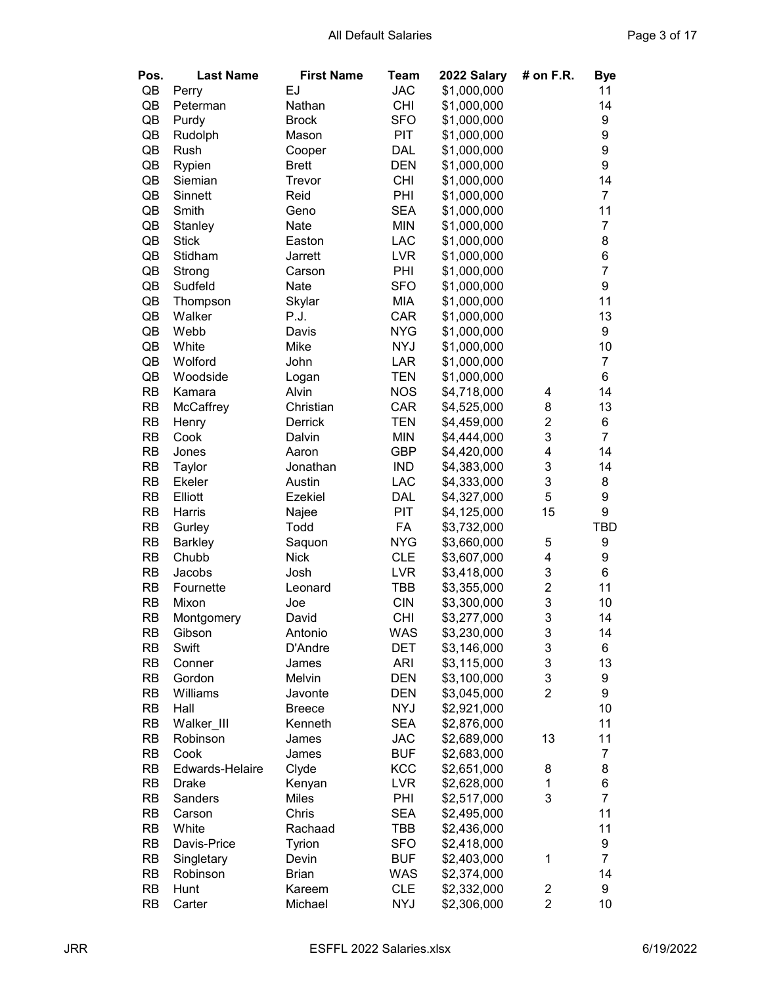| Pos.      | <b>Last Name</b> | <b>First Name</b> | Team       | 2022 Salary | # on $F.R.$             | <b>Bye</b>       |
|-----------|------------------|-------------------|------------|-------------|-------------------------|------------------|
| QB        | Perry            | EJ                | <b>JAC</b> | \$1,000,000 |                         | 11               |
| QB        | Peterman         | Nathan            | <b>CHI</b> | \$1,000,000 |                         | 14               |
| QB        | Purdy            | <b>Brock</b>      | <b>SFO</b> | \$1,000,000 |                         | 9                |
| QB        | Rudolph          | Mason             | <b>PIT</b> | \$1,000,000 |                         | 9                |
| QB        | Rush             | Cooper            | DAL        | \$1,000,000 |                         | 9                |
| QB        | Rypien           | <b>Brett</b>      | <b>DEN</b> | \$1,000,000 |                         | 9                |
| QB        | Siemian          | Trevor            | <b>CHI</b> | \$1,000,000 |                         | 14               |
| QB        | Sinnett          | Reid              | PHI        | \$1,000,000 |                         | $\overline{7}$   |
| QB        | Smith            | Geno              | <b>SEA</b> | \$1,000,000 |                         | 11               |
| QB        | Stanley          | Nate              | <b>MIN</b> | \$1,000,000 |                         | $\overline{7}$   |
| QB        | <b>Stick</b>     | Easton            | LAC        | \$1,000,000 |                         | 8                |
| QB        | Stidham          | Jarrett           | <b>LVR</b> | \$1,000,000 |                         | 6                |
| QB        | Strong           | Carson            | PHI        | \$1,000,000 |                         | $\overline{7}$   |
| QB        | Sudfeld          | Nate              | <b>SFO</b> | \$1,000,000 |                         | 9                |
| QB        | Thompson         | Skylar            | <b>MIA</b> | \$1,000,000 |                         | 11               |
| QB        | Walker           | P.J.              | CAR        | \$1,000,000 |                         | 13               |
| QB        | Webb             | Davis             | <b>NYG</b> | \$1,000,000 |                         | 9                |
| QB        | White            | Mike              | <b>NYJ</b> | \$1,000,000 |                         | 10               |
| QB        | Wolford          | John              | <b>LAR</b> | \$1,000,000 |                         | $\overline{7}$   |
| QB        | Woodside         | Logan             | <b>TEN</b> | \$1,000,000 |                         | 6                |
| <b>RB</b> | Kamara           | Alvin             | <b>NOS</b> | \$4,718,000 | 4                       | 14               |
| <b>RB</b> | McCaffrey        | Christian         | CAR        | \$4,525,000 | 8                       | 13               |
| <b>RB</b> | Henry            | Derrick           | <b>TEN</b> | \$4,459,000 | $\overline{\mathbf{c}}$ | 6                |
| <b>RB</b> | Cook             | Dalvin            | <b>MIN</b> | \$4,444,000 | 3                       | $\overline{7}$   |
| <b>RB</b> | Jones            | Aaron             | <b>GBP</b> | \$4,420,000 | 4                       | 14               |
| <b>RB</b> | Taylor           | Jonathan          | <b>IND</b> | \$4,383,000 | 3                       | 14               |
| <b>RB</b> | Ekeler           | Austin            | LAC        | \$4,333,000 | 3                       | 8                |
| <b>RB</b> | Elliott          | Ezekiel           | <b>DAL</b> | \$4,327,000 | 5                       | 9                |
| <b>RB</b> | Harris           | Najee             | <b>PIT</b> | \$4,125,000 | 15                      | 9                |
| <b>RB</b> | Gurley           | Todd              | FA         | \$3,732,000 |                         | TBD              |
| <b>RB</b> | <b>Barkley</b>   | Saquon            | <b>NYG</b> | \$3,660,000 | 5                       | 9                |
| <b>RB</b> | Chubb            | <b>Nick</b>       | <b>CLE</b> | \$3,607,000 | 4                       | 9                |
| <b>RB</b> | Jacobs           | Josh              | <b>LVR</b> | \$3,418,000 | 3                       | 6                |
| <b>RB</b> | Fournette        | Leonard           | TBB        | \$3,355,000 | $\overline{c}$          | 11               |
| <b>RB</b> | Mixon            | Joe               | <b>CIN</b> | \$3,300,000 | 3                       | 10               |
| <b>RB</b> | Montgomery       | David             | <b>CHI</b> | \$3,277,000 | 3                       | 14               |
| <b>RB</b> | Gibson           | Antonio           | WAS        | \$3,230,000 | 3                       | 14               |
| <b>RB</b> | Swift            | D'Andre           | <b>DET</b> | \$3,146,000 | 3                       | 6                |
| RB        | Conner           | James             | <b>ARI</b> | \$3,115,000 | 3                       | 13               |
| <b>RB</b> | Gordon           | Melvin            | <b>DEN</b> | \$3,100,000 | 3                       | 9                |
| <b>RB</b> | Williams         | Javonte           | <b>DEN</b> | \$3,045,000 | $\overline{2}$          | 9                |
| <b>RB</b> | Hall             | <b>Breece</b>     | <b>NYJ</b> | \$2,921,000 |                         | 10               |
| <b>RB</b> | Walker_III       | Kenneth           | <b>SEA</b> | \$2,876,000 |                         | 11               |
| <b>RB</b> | Robinson         | James             | <b>JAC</b> | \$2,689,000 | 13                      | 11               |
| <b>RB</b> | Cook             | James             | <b>BUF</b> | \$2,683,000 |                         | $\boldsymbol{7}$ |
| <b>RB</b> | Edwards-Helaire  | Clyde             | KCC        | \$2,651,000 | 8                       | 8                |
| <b>RB</b> | <b>Drake</b>     | Kenyan            | <b>LVR</b> | \$2,628,000 | 1                       | 6                |
| <b>RB</b> | Sanders          | <b>Miles</b>      | PHI        | \$2,517,000 | 3                       | $\overline{7}$   |
| <b>RB</b> | Carson           | Chris             | <b>SEA</b> | \$2,495,000 |                         | 11               |
| RB        | White            | Rachaad           | TBB        | \$2,436,000 |                         | 11               |
| <b>RB</b> | Davis-Price      | Tyrion            | <b>SFO</b> | \$2,418,000 |                         | 9                |
| <b>RB</b> | Singletary       | Devin             | <b>BUF</b> | \$2,403,000 | 1                       | $\overline{7}$   |
| RB        | Robinson         | <b>Brian</b>      | <b>WAS</b> | \$2,374,000 |                         | 14               |
| <b>RB</b> | Hunt             | Kareem            | <b>CLE</b> | \$2,332,000 | 2                       | 9                |
| RB        | Carter           | Michael           | <b>NYJ</b> | \$2,306,000 | $\overline{c}$          | 10               |
|           |                  |                   |            |             |                         |                  |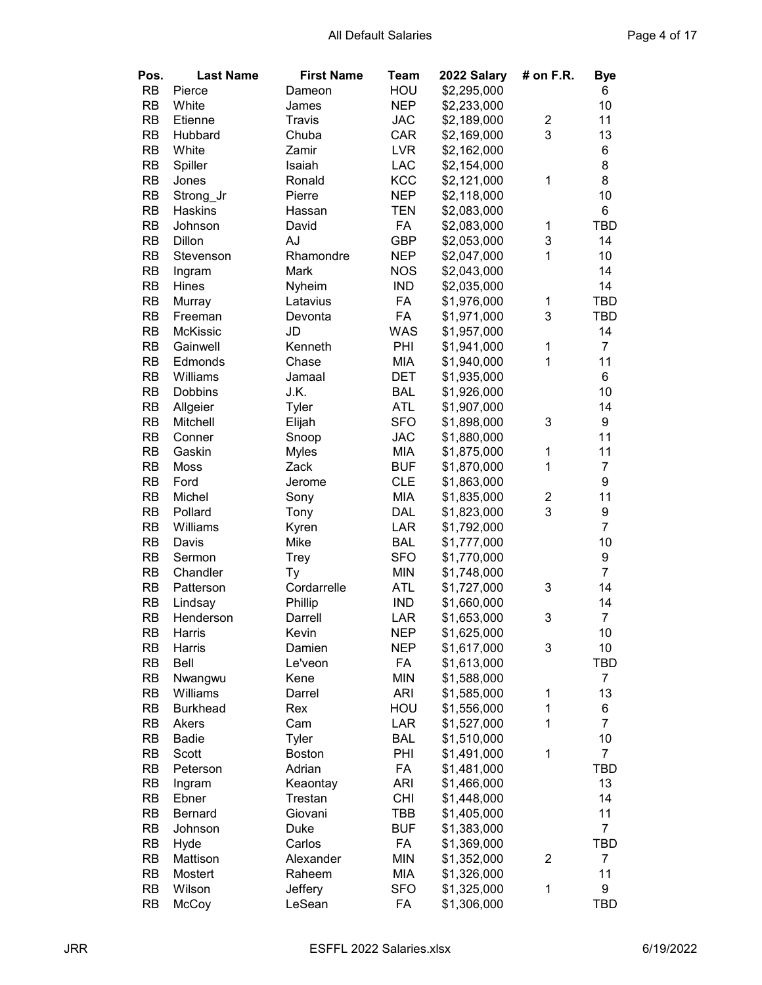| Pos.      | <b>Last Name</b> | <b>First Name</b> | Team       | 2022 Salary | # on F.R.        | <b>Bye</b>       |
|-----------|------------------|-------------------|------------|-------------|------------------|------------------|
| <b>RB</b> | Pierce           | Dameon            | HOU        | \$2,295,000 |                  | 6                |
| <b>RB</b> | White            | James             | <b>NEP</b> | \$2,233,000 |                  | 10               |
| <b>RB</b> | Etienne          | Travis            | <b>JAC</b> | \$2,189,000 | 2                | 11               |
| <b>RB</b> | Hubbard          | Chuba             | CAR        | \$2,169,000 | 3                | 13               |
| <b>RB</b> | White            | Zamir             | <b>LVR</b> | \$2,162,000 |                  | 6                |
| <b>RB</b> | Spiller          | Isaiah            | LAC        | \$2,154,000 |                  | 8                |
| <b>RB</b> | Jones            | Ronald            | KCC        | \$2,121,000 | 1                | 8                |
| <b>RB</b> | Strong_Jr        | Pierre            | <b>NEP</b> | \$2,118,000 |                  | 10               |
| <b>RB</b> | Haskins          | Hassan            | TEN        | \$2,083,000 |                  | 6                |
| <b>RB</b> | Johnson          | David             | FA         | \$2,083,000 | 1                | <b>TBD</b>       |
| <b>RB</b> | Dillon           | AJ                | <b>GBP</b> | \$2,053,000 | 3                | 14               |
| <b>RB</b> | Stevenson        | Rhamondre         | <b>NEP</b> | \$2,047,000 | 1                | 10               |
| <b>RB</b> |                  | Mark              | <b>NOS</b> | \$2,043,000 |                  | 14               |
| <b>RB</b> | Ingram<br>Hines  | Nyheim            | <b>IND</b> | \$2,035,000 |                  | 14               |
|           |                  |                   |            |             |                  |                  |
| <b>RB</b> | Murray           | Latavius          | FA         | \$1,976,000 | 1                | TBD              |
| <b>RB</b> | Freeman          | Devonta           | FA         | \$1,971,000 | 3                | <b>TBD</b>       |
| <b>RB</b> | McKissic         | JD                | <b>WAS</b> | \$1,957,000 |                  | 14               |
| <b>RB</b> | Gainwell         | Kenneth           | PHI        | \$1,941,000 | $\mathbf 1$      | $\overline{7}$   |
| <b>RB</b> | Edmonds          | Chase             | <b>MIA</b> | \$1,940,000 | 1                | 11               |
| <b>RB</b> | Williams         | Jamaal            | <b>DET</b> | \$1,935,000 |                  | 6                |
| <b>RB</b> | <b>Dobbins</b>   | J.K.              | <b>BAL</b> | \$1,926,000 |                  | 10               |
| <b>RB</b> | Allgeier         | Tyler             | <b>ATL</b> | \$1,907,000 |                  | 14               |
| <b>RB</b> | Mitchell         | Elijah            | <b>SFO</b> | \$1,898,000 | 3                | 9                |
| <b>RB</b> | Conner           | Snoop             | <b>JAC</b> | \$1,880,000 |                  | 11               |
| <b>RB</b> | Gaskin           | <b>Myles</b>      | MIA        | \$1,875,000 | 1                | 11               |
| <b>RB</b> | Moss             | Zack              | <b>BUF</b> | \$1,870,000 | 1                | $\overline{7}$   |
| <b>RB</b> | Ford             | Jerome            | <b>CLE</b> | \$1,863,000 |                  | $\boldsymbol{9}$ |
| <b>RB</b> | Michel           | Sony              | MIA        | \$1,835,000 | 2                | 11               |
| <b>RB</b> | Pollard          | Tony              | DAL        | \$1,823,000 | 3                | 9                |
| <b>RB</b> | Williams         | Kyren             | LAR        | \$1,792,000 |                  | $\overline{7}$   |
| <b>RB</b> | Davis            | Mike              | <b>BAL</b> | \$1,777,000 |                  | 10               |
| <b>RB</b> | Sermon           | <b>Trey</b>       | <b>SFO</b> | \$1,770,000 |                  | $\boldsymbol{9}$ |
| <b>RB</b> | Chandler         | Ty                | <b>MIN</b> | \$1,748,000 |                  | $\overline{7}$   |
| <b>RB</b> | Patterson        | Cordarrelle       | ATL        | \$1,727,000 | 3                | 14               |
| <b>RB</b> | Lindsay          | Phillip           | <b>IND</b> | \$1,660,000 |                  | 14               |
| <b>RB</b> | Henderson        | Darrell           | LAR        | \$1,653,000 | 3                | $\overline{7}$   |
| <b>RB</b> | Harris           | Kevin             | <b>NEP</b> | \$1,625,000 |                  | 10               |
| <b>RB</b> | Harris           | Damien            | <b>NEP</b> | \$1,617,000 | 3                | 10               |
| <b>RB</b> | Bell             | Le'veon           | FA         | \$1,613,000 |                  | TBD              |
| <b>RB</b> | Nwangwu          | Kene              | <b>MIN</b> | \$1,588,000 |                  | $\overline{7}$   |
| <b>RB</b> | Williams         | Darrel            | <b>ARI</b> | \$1,585,000 | $\mathbf 1$      | 13               |
| <b>RB</b> | <b>Burkhead</b>  | Rex               | HOU        | \$1,556,000 | $\mathbf 1$      | 6                |
| <b>RB</b> | Akers            | Cam               | LAR        | \$1,527,000 | $\mathbf 1$      | $\overline{7}$   |
| <b>RB</b> | <b>Badie</b>     | Tyler             | <b>BAL</b> | \$1,510,000 |                  | 10               |
| <b>RB</b> | Scott            | <b>Boston</b>     | PHI        | \$1,491,000 | $\mathbf 1$      | $\overline{7}$   |
| <b>RB</b> | Peterson         | Adrian            | FA         | \$1,481,000 |                  | TBD              |
| <b>RB</b> | Ingram           | Keaontay          | <b>ARI</b> | \$1,466,000 |                  | 13               |
| <b>RB</b> | Ebner            | Trestan           | <b>CHI</b> | \$1,448,000 |                  | 14               |
| <b>RB</b> | <b>Bernard</b>   | Giovani           | TBB        | \$1,405,000 |                  | 11               |
| <b>RB</b> | Johnson          | <b>Duke</b>       | <b>BUF</b> | \$1,383,000 |                  | $\overline{7}$   |
| <b>RB</b> |                  | Carlos            | FA         |             |                  | <b>TBD</b>       |
|           | Hyde             |                   | <b>MIN</b> | \$1,369,000 | $\boldsymbol{2}$ | $\overline{7}$   |
| <b>RB</b> | Mattison         | Alexander         |            | \$1,352,000 |                  |                  |
| RB        | Mostert          | Raheem            | MIA        | \$1,326,000 |                  | 11               |
| RB        | Wilson           | Jeffery           | <b>SFO</b> | \$1,325,000 | $\mathbf 1$      | 9                |
| <b>RB</b> | McCoy            | LeSean            | FA         | \$1,306,000 |                  | <b>TBD</b>       |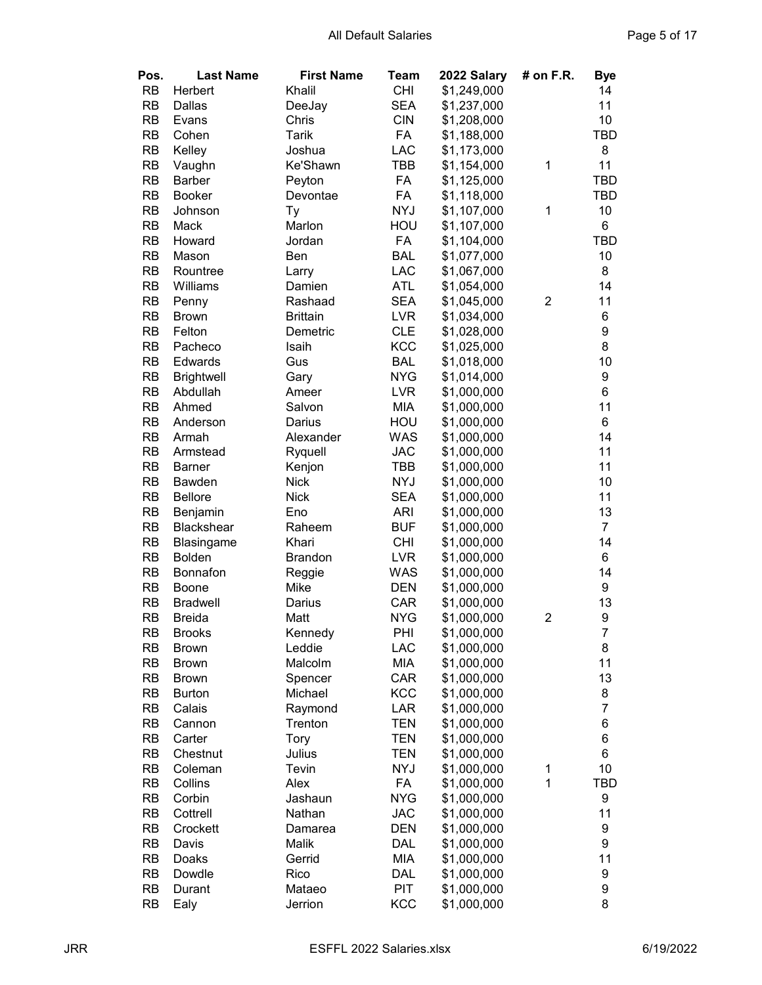| Pos.      | <b>Last Name</b>  | <b>First Name</b> | Team       | 2022 Salary | # on F.R.      | <b>Bye</b>     |
|-----------|-------------------|-------------------|------------|-------------|----------------|----------------|
| <b>RB</b> | Herbert           | Khalil            | <b>CHI</b> | \$1,249,000 |                | 14             |
| <b>RB</b> | Dallas            | DeeJay            | <b>SEA</b> | \$1,237,000 |                | 11             |
| <b>RB</b> | Evans             | Chris             | <b>CIN</b> | \$1,208,000 |                | 10             |
| <b>RB</b> | Cohen             | Tarik             | FA         | \$1,188,000 |                | <b>TBD</b>     |
| <b>RB</b> | Kelley            | Joshua            | LAC        | \$1,173,000 |                | 8              |
| <b>RB</b> | Vaughn            | Ke'Shawn          | TBB        | \$1,154,000 | 1              | 11             |
| <b>RB</b> | <b>Barber</b>     | Peyton            | FA         | \$1,125,000 |                | <b>TBD</b>     |
| <b>RB</b> | <b>Booker</b>     | Devontae          | FA         | \$1,118,000 |                | <b>TBD</b>     |
| <b>RB</b> | Johnson           | Тy                | <b>NYJ</b> | \$1,107,000 | 1              | 10             |
| <b>RB</b> | Mack              | Marlon            | HOU        | \$1,107,000 |                | 6              |
| <b>RB</b> | Howard            | Jordan            | FA         | \$1,104,000 |                | <b>TBD</b>     |
| <b>RB</b> | Mason             | Ben               | <b>BAL</b> | \$1,077,000 |                | 10             |
| <b>RB</b> | Rountree          | Larry             | LAC        | \$1,067,000 |                | 8              |
| <b>RB</b> | Williams          | Damien            | <b>ATL</b> | \$1,054,000 |                | 14             |
| <b>RB</b> | Penny             | Rashaad           | <b>SEA</b> | \$1,045,000 | $\overline{c}$ | 11             |
| <b>RB</b> | <b>Brown</b>      | <b>Brittain</b>   | <b>LVR</b> | \$1,034,000 |                | 6              |
| <b>RB</b> | Felton            | Demetric          | <b>CLE</b> | \$1,028,000 |                | 9              |
| <b>RB</b> | Pacheco           | Isaih             | KCC        | \$1,025,000 |                | 8              |
| <b>RB</b> | Edwards           | Gus               | <b>BAL</b> | \$1,018,000 |                | 10             |
| <b>RB</b> | <b>Brightwell</b> | Gary              | <b>NYG</b> | \$1,014,000 |                | 9              |
| <b>RB</b> | Abdullah          | Ameer             | <b>LVR</b> | \$1,000,000 |                | 6              |
| <b>RB</b> | Ahmed             | Salvon            | <b>MIA</b> | \$1,000,000 |                | 11             |
| <b>RB</b> | Anderson          | Darius            | HOU        | \$1,000,000 |                | 6              |
| <b>RB</b> | Armah             | Alexander         | WAS        | \$1,000,000 |                | 14             |
| <b>RB</b> | Armstead          | Ryquell           | <b>JAC</b> | \$1,000,000 |                | 11             |
| <b>RB</b> | <b>Barner</b>     | Kenjon            | <b>TBB</b> | \$1,000,000 |                | 11             |
| <b>RB</b> | Bawden            | <b>Nick</b>       | <b>NYJ</b> | \$1,000,000 |                | 10             |
| <b>RB</b> | <b>Bellore</b>    | <b>Nick</b>       | <b>SEA</b> | \$1,000,000 |                | 11             |
| <b>RB</b> | Benjamin          | Eno               | <b>ARI</b> | \$1,000,000 |                | 13             |
| <b>RB</b> | <b>Blackshear</b> | Raheem            | <b>BUF</b> | \$1,000,000 |                | $\overline{7}$ |
| <b>RB</b> | Blasingame        | Khari             | <b>CHI</b> | \$1,000,000 |                | 14             |
| <b>RB</b> | <b>Bolden</b>     | <b>Brandon</b>    | <b>LVR</b> | \$1,000,000 |                | 6              |
| <b>RB</b> | Bonnafon          | Reggie            | <b>WAS</b> | \$1,000,000 |                | 14             |
| <b>RB</b> | <b>Boone</b>      | Mike              | <b>DEN</b> | \$1,000,000 |                | 9              |
| <b>RB</b> | <b>Bradwell</b>   | Darius            | CAR        | \$1,000,000 |                | 13             |
| <b>RB</b> | <b>Breida</b>     | Matt              | <b>NYG</b> | \$1,000,000 | 2              | 9              |
| <b>RB</b> | <b>Brooks</b>     | Kennedy           | PHI        | \$1,000,000 |                | $\overline{7}$ |
| <b>RB</b> | <b>Brown</b>      | Leddie            | <b>LAC</b> | \$1,000,000 |                | 8              |
| RB        | <b>Brown</b>      | Malcolm           | MIA        | \$1,000,000 |                | 11             |
| RB        | <b>Brown</b>      | Spencer           | CAR        | \$1,000,000 |                | 13             |
| RB        | <b>Burton</b>     | Michael           | KCC        | \$1,000,000 |                | 8              |
| RB        | Calais            | Raymond           | LAR        | \$1,000,000 |                | $\overline{7}$ |
| RB        | Cannon            | Trenton           | <b>TEN</b> | \$1,000,000 |                | 6              |
| RB        | Carter            | Tory              | <b>TEN</b> | \$1,000,000 |                | 6              |
| RB        | Chestnut          | Julius            | <b>TEN</b> | \$1,000,000 |                | 6              |
| RB        | Coleman           | Tevin             | <b>NYJ</b> | \$1,000,000 | $\mathbf 1$    | 10             |
| <b>RB</b> | Collins           | Alex              | FA         | \$1,000,000 | 1              | TBD            |
| RB        | Corbin            | Jashaun           | <b>NYG</b> | \$1,000,000 |                | 9              |
| <b>RB</b> | Cottrell          | Nathan            | <b>JAC</b> | \$1,000,000 |                | 11             |
| <b>RB</b> | Crockett          | Damarea           | <b>DEN</b> | \$1,000,000 |                | 9              |
| <b>RB</b> | Davis             | Malik             | DAL        | \$1,000,000 |                | 9              |
| <b>RB</b> | Doaks             | Gerrid            | MIA        | \$1,000,000 |                | 11             |
| <b>RB</b> | Dowdle            | Rico              | <b>DAL</b> | \$1,000,000 |                | 9              |
| <b>RB</b> | Durant            | Mataeo            | <b>PIT</b> | \$1,000,000 |                | 9              |
| <b>RB</b> | Ealy              | Jerrion           | KCC        | \$1,000,000 |                | 8              |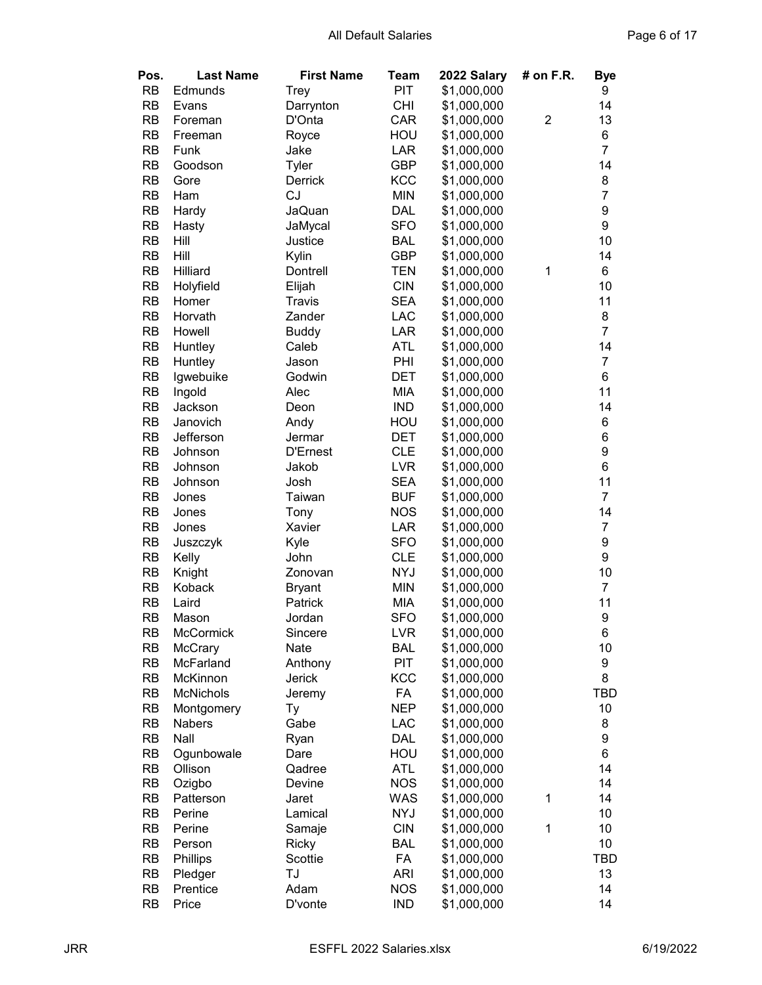| Pos.      | <b>Last Name</b> | <b>First Name</b> | <b>Team</b> | 2022 Salary | # on F.R.      | <b>Bye</b>       |
|-----------|------------------|-------------------|-------------|-------------|----------------|------------------|
| <b>RB</b> | Edmunds          | <b>Trey</b>       | PIT         | \$1,000,000 |                | 9                |
| <b>RB</b> | Evans            | Darrynton         | <b>CHI</b>  | \$1,000,000 |                | 14               |
| <b>RB</b> | Foreman          | D'Onta            | CAR         | \$1,000,000 | $\overline{2}$ | 13               |
| <b>RB</b> | Freeman          | Royce             | HOU         | \$1,000,000 |                | 6                |
| <b>RB</b> | Funk             | Jake              | LAR         | \$1,000,000 |                | $\overline{7}$   |
| <b>RB</b> | Goodson          | Tyler             | <b>GBP</b>  | \$1,000,000 |                | 14               |
| <b>RB</b> | Gore             | Derrick           | <b>KCC</b>  | \$1,000,000 |                | 8                |
| <b>RB</b> | Ham              | <b>CJ</b>         | <b>MIN</b>  | \$1,000,000 |                | $\overline{7}$   |
| <b>RB</b> | Hardy            | JaQuan            | <b>DAL</b>  | \$1,000,000 |                | 9                |
| <b>RB</b> | Hasty            | JaMycal           | <b>SFO</b>  | \$1,000,000 |                | 9                |
| <b>RB</b> | Hill             | Justice           | <b>BAL</b>  | \$1,000,000 |                | 10               |
| <b>RB</b> | Hill             | Kylin             | <b>GBP</b>  | \$1,000,000 |                | 14               |
| <b>RB</b> | Hilliard         | Dontrell          | <b>TEN</b>  | \$1,000,000 | 1              | 6                |
| <b>RB</b> | Holyfield        | Elijah            | <b>CIN</b>  | \$1,000,000 |                | 10               |
| <b>RB</b> | Homer            | Travis            | <b>SEA</b>  | \$1,000,000 |                | 11               |
| <b>RB</b> | Horvath          | Zander            | <b>LAC</b>  | \$1,000,000 |                | 8                |
| <b>RB</b> | Howell           | <b>Buddy</b>      | <b>LAR</b>  | \$1,000,000 |                | $\overline{7}$   |
| <b>RB</b> | Huntley          | Caleb             | <b>ATL</b>  | \$1,000,000 |                | 14               |
| <b>RB</b> | Huntley          | Jason             | PHI         | \$1,000,000 |                | $\overline{7}$   |
| <b>RB</b> | Igwebuike        | Godwin            | <b>DET</b>  | \$1,000,000 |                | 6                |
| <b>RB</b> | Ingold           | Alec              | <b>MIA</b>  | \$1,000,000 |                | 11               |
| <b>RB</b> | Jackson          | Deon              | <b>IND</b>  | \$1,000,000 |                | 14               |
| <b>RB</b> | Janovich         | Andy              | HOU         | \$1,000,000 |                | 6                |
| <b>RB</b> | Jefferson        | Jermar            | <b>DET</b>  | \$1,000,000 |                | 6                |
| <b>RB</b> | Johnson          | <b>D'Ernest</b>   | <b>CLE</b>  | \$1,000,000 |                | $\boldsymbol{9}$ |
| <b>RB</b> | Johnson          | Jakob             | <b>LVR</b>  | \$1,000,000 |                | 6                |
| <b>RB</b> | Johnson          | Josh              | <b>SEA</b>  | \$1,000,000 |                | 11               |
| <b>RB</b> | Jones            | Taiwan            | <b>BUF</b>  | \$1,000,000 |                | $\overline{7}$   |
| <b>RB</b> | Jones            | Tony              | <b>NOS</b>  | \$1,000,000 |                | 14               |
| <b>RB</b> | Jones            | Xavier            | LAR         | \$1,000,000 |                | $\overline{7}$   |
| <b>RB</b> | Juszczyk         | Kyle              | <b>SFO</b>  | \$1,000,000 |                | 9                |
| <b>RB</b> | Kelly            | John              | <b>CLE</b>  | \$1,000,000 |                | $\boldsymbol{9}$ |
| <b>RB</b> | Knight           | Zonovan           | <b>NYJ</b>  | \$1,000,000 |                | 10               |
| <b>RB</b> | Koback           | <b>Bryant</b>     | <b>MIN</b>  | \$1,000,000 |                | $\overline{7}$   |
| <b>RB</b> | Laird            | Patrick           | <b>MIA</b>  | \$1,000,000 |                | 11               |
| <b>RB</b> | Mason            | Jordan            | <b>SFO</b>  | \$1,000,000 |                | 9                |
| <b>RB</b> | McCormick        | Sincere           | <b>LVR</b>  | \$1,000,000 |                | 6                |
| <b>RB</b> | McCrary          | Nate              | <b>BAL</b>  | \$1,000,000 |                | 10               |
| RB        | McFarland        | Anthony           | PIT         | \$1,000,000 |                | 9                |
| <b>RB</b> | McKinnon         | Jerick            | <b>KCC</b>  | \$1,000,000 |                | 8                |
| <b>RB</b> | <b>McNichols</b> | Jeremy            | FA          | \$1,000,000 |                | <b>TBD</b>       |
| <b>RB</b> | Montgomery       | Тy                | <b>NEP</b>  | \$1,000,000 |                | 10               |
| <b>RB</b> | Nabers           | Gabe              | <b>LAC</b>  | \$1,000,000 |                | 8                |
| <b>RB</b> | Nall             | Ryan              | <b>DAL</b>  | \$1,000,000 |                | 9                |
| <b>RB</b> | Ogunbowale       | Dare              | HOU         | \$1,000,000 |                | 6                |
| <b>RB</b> | Ollison          | Qadree            | <b>ATL</b>  | \$1,000,000 |                | 14               |
| <b>RB</b> | Ozigbo           | Devine            | <b>NOS</b>  | \$1,000,000 |                | 14               |
| <b>RB</b> | Patterson        | Jaret             | WAS         | \$1,000,000 | 1              | 14               |
| <b>RB</b> | Perine           | Lamical           | <b>NYJ</b>  | \$1,000,000 |                | 10               |
| <b>RB</b> | Perine           | Samaje            | <b>CIN</b>  | \$1,000,000 | $\mathbf 1$    | 10               |
| <b>RB</b> | Person           | <b>Ricky</b>      | <b>BAL</b>  | \$1,000,000 |                | 10               |
| <b>RB</b> | Phillips         | Scottie           | FA          | \$1,000,000 |                | TBD              |
| RB        | Pledger          | TJ                | <b>ARI</b>  | \$1,000,000 |                | 13               |
| RB        | Prentice         | Adam              | <b>NOS</b>  | \$1,000,000 |                | 14               |
| <b>RB</b> | Price            | D'vonte           | <b>IND</b>  | \$1,000,000 |                | 14               |
|           |                  |                   |             |             |                |                  |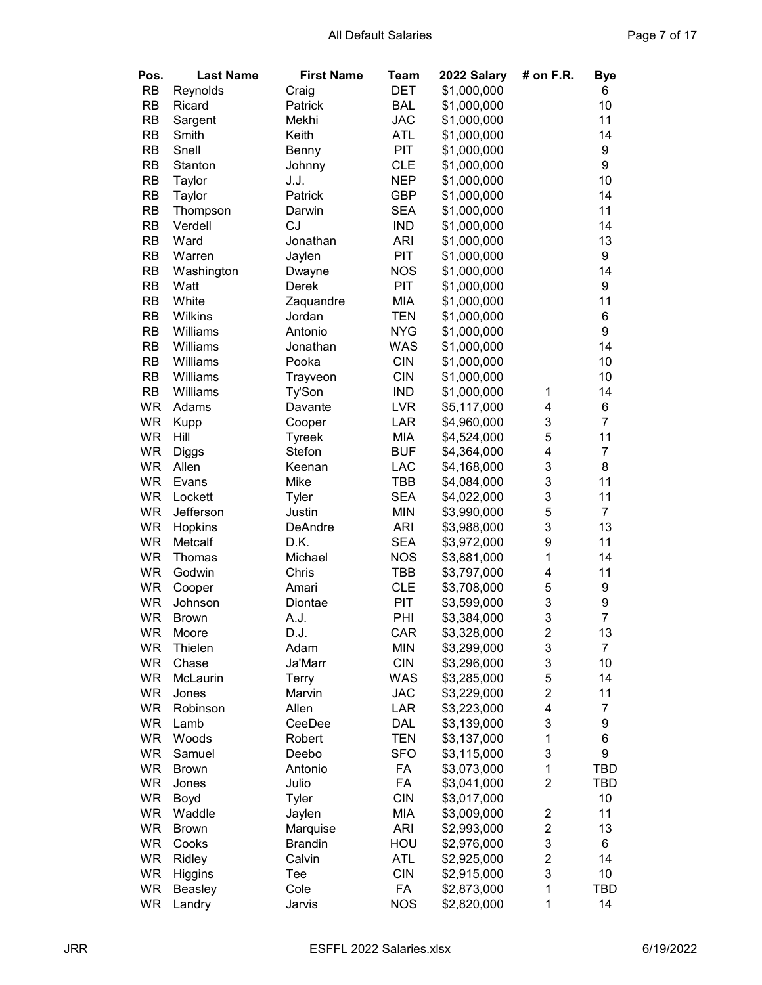| Pos.      | <b>Last Name</b> | <b>First Name</b> | Team       | 2022 Salary | # on F.R.               | <b>Bye</b>     |
|-----------|------------------|-------------------|------------|-------------|-------------------------|----------------|
| <b>RB</b> | Reynolds         | Craig             | <b>DET</b> | \$1,000,000 |                         | 6              |
| <b>RB</b> | Ricard           | Patrick           | <b>BAL</b> | \$1,000,000 |                         | 10             |
| <b>RB</b> | Sargent          | Mekhi             | <b>JAC</b> | \$1,000,000 |                         | 11             |
| <b>RB</b> | Smith            | Keith             | <b>ATL</b> | \$1,000,000 |                         | 14             |
| <b>RB</b> | Snell            | Benny             | <b>PIT</b> | \$1,000,000 |                         | 9              |
| <b>RB</b> | Stanton          | Johnny            | <b>CLE</b> | \$1,000,000 |                         | 9              |
| <b>RB</b> | Taylor           | J.J.              | <b>NEP</b> | \$1,000,000 |                         | 10             |
| <b>RB</b> | Taylor           | Patrick           | <b>GBP</b> | \$1,000,000 |                         | 14             |
| <b>RB</b> | Thompson         | Darwin            | <b>SEA</b> | \$1,000,000 |                         | 11             |
| <b>RB</b> |                  | <b>CJ</b>         |            |             |                         | 14             |
|           | Verdell          |                   | <b>IND</b> | \$1,000,000 |                         |                |
| <b>RB</b> | Ward             | Jonathan          | <b>ARI</b> | \$1,000,000 |                         | 13             |
| <b>RB</b> | Warren           | Jaylen            | PIT        | \$1,000,000 |                         | 9              |
| <b>RB</b> | Washington       | Dwayne            | <b>NOS</b> | \$1,000,000 |                         | 14             |
| <b>RB</b> | Watt             | Derek             | PIT        | \$1,000,000 |                         | 9              |
| <b>RB</b> | White            | Zaquandre         | MIA        | \$1,000,000 |                         | 11             |
| <b>RB</b> | <b>Wilkins</b>   | Jordan            | <b>TEN</b> | \$1,000,000 |                         | 6              |
| <b>RB</b> | Williams         | Antonio           | <b>NYG</b> | \$1,000,000 |                         | 9              |
| <b>RB</b> | Williams         | Jonathan          | WAS        | \$1,000,000 |                         | 14             |
| <b>RB</b> | Williams         | Pooka             | <b>CIN</b> | \$1,000,000 |                         | 10             |
| <b>RB</b> | Williams         | Trayveon          | <b>CIN</b> | \$1,000,000 |                         | 10             |
| <b>RB</b> | Williams         | Ty'Son            | <b>IND</b> | \$1,000,000 | 1                       | 14             |
| WR        | Adams            | Davante           | <b>LVR</b> | \$5,117,000 | 4                       | 6              |
| <b>WR</b> | Kupp             | Cooper            | LAR        | \$4,960,000 | 3                       | $\overline{7}$ |
| <b>WR</b> | Hill             | Tyreek            | MIA        | \$4,524,000 | 5                       | 11             |
| <b>WR</b> | Diggs            | Stefon            | <b>BUF</b> | \$4,364,000 | 4                       | $\overline{7}$ |
| <b>WR</b> | Allen            | Keenan            | LAC        | \$4,168,000 | 3                       | 8              |
| <b>WR</b> | Evans            | Mike              | TBB        | \$4,084,000 | 3                       | 11             |
| <b>WR</b> | Lockett          | Tyler             | <b>SEA</b> | \$4,022,000 | 3                       | 11             |
| <b>WR</b> | Jefferson        | Justin            | <b>MIN</b> | \$3,990,000 | 5                       | $\overline{7}$ |
| WR        | Hopkins          | DeAndre           | <b>ARI</b> | \$3,988,000 | 3                       | 13             |
| <b>WR</b> | Metcalf          | D.K.              | <b>SEA</b> | \$3,972,000 | 9                       | 11             |
| <b>WR</b> |                  | Michael           | <b>NOS</b> |             | 1                       | 14             |
| <b>WR</b> | Thomas<br>Godwin | Chris             | <b>TBB</b> | \$3,881,000 | 4                       | 11             |
|           |                  |                   |            | \$3,797,000 |                         |                |
| WR        | Cooper           | Amari             | <b>CLE</b> | \$3,708,000 | 5                       | 9              |
| <b>WR</b> | Johnson          | Diontae           | <b>PIT</b> | \$3,599,000 | 3                       | 9              |
| <b>WR</b> | <b>Brown</b>     | A.J.              | PHI        | \$3,384,000 | 3                       | $\overline{7}$ |
| WR        | Moore            | D.J.              | CAR        | \$3,328,000 | 2                       | 13             |
| WR        | Thielen          | Adam              | <b>MIN</b> | \$3,299,000 | 3                       | $\overline{7}$ |
| <b>WR</b> | Chase            | Ja'Marr           | <b>CIN</b> | \$3,296,000 | 3                       | 10             |
| WR        | McLaurin         | Terry             | WAS        | \$3,285,000 | 5                       | 14             |
| WR        | Jones            | Marvin            | <b>JAC</b> | \$3,229,000 | $\overline{2}$          | 11             |
| WR        | Robinson         | Allen             | LAR        | \$3,223,000 | 4                       | $\overline{7}$ |
| WR        | Lamb             | CeeDee            | DAL        | \$3,139,000 | 3                       | 9              |
| WR        | Woods            | Robert            | <b>TEN</b> | \$3,137,000 | 1                       | 6              |
| WR        | Samuel           | Deebo             | <b>SFO</b> | \$3,115,000 | 3                       | 9              |
| WR        | <b>Brown</b>     | Antonio           | FA         | \$3,073,000 | $\mathbf 1$             | TBD            |
| WR        | Jones            | Julio             | FA         | \$3,041,000 | $\overline{2}$          | TBD            |
| WR        | Boyd             | Tyler             | <b>CIN</b> | \$3,017,000 |                         | 10             |
| WR        | Waddle           | Jaylen            | MIA        | \$3,009,000 | $\overline{\mathbf{c}}$ | 11             |
| WR        | <b>Brown</b>     | Marquise          | <b>ARI</b> | \$2,993,000 | $\overline{\mathbf{c}}$ | 13             |
| WR        | Cooks            | <b>Brandin</b>    | HOU        | \$2,976,000 | 3                       | 6              |
| <b>WR</b> | Ridley           | Calvin            | <b>ATL</b> | \$2,925,000 | $\overline{\mathbf{c}}$ | 14             |
| WR        | <b>Higgins</b>   | Tee               | <b>CIN</b> | \$2,915,000 | 3                       | 10             |
| <b>WR</b> | Beasley          | Cole              | FA         | \$2,873,000 | 1                       | TBD            |
| <b>WR</b> | Landry           | Jarvis            | <b>NOS</b> | \$2,820,000 | 1                       | 14             |
|           |                  |                   |            |             |                         |                |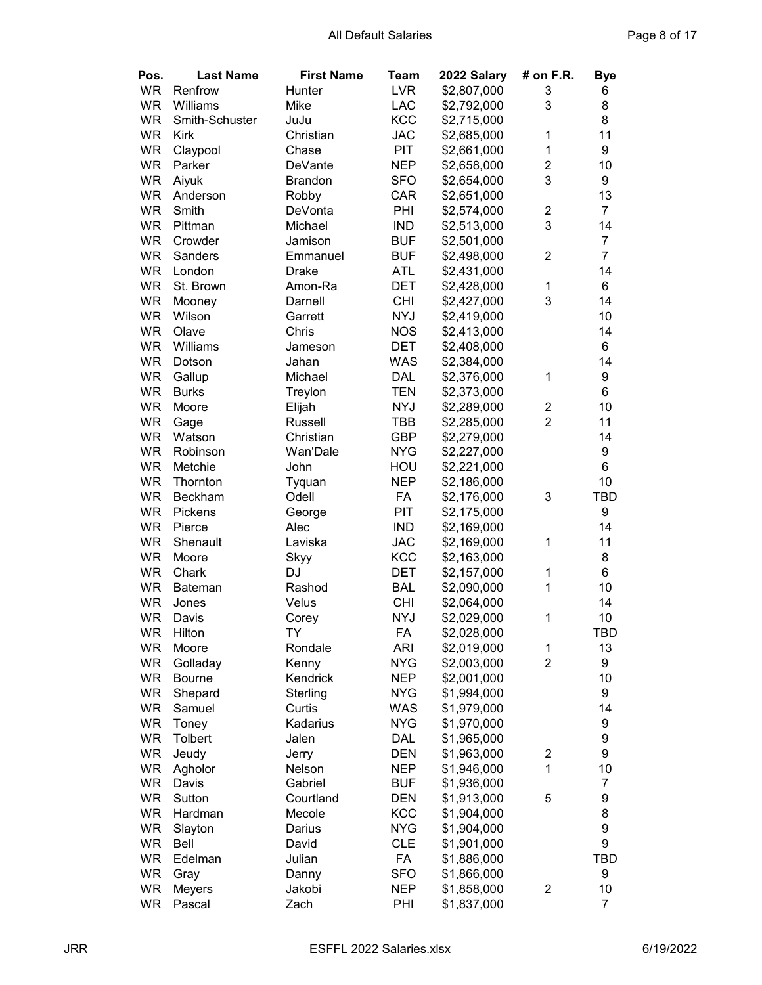| Pos.      | <b>Last Name</b> | <b>First Name</b> | Team       | 2022 Salary | # on F.R.      | <b>Bye</b>       |
|-----------|------------------|-------------------|------------|-------------|----------------|------------------|
| <b>WR</b> | Renfrow          | Hunter            | <b>LVR</b> | \$2,807,000 | 3              | 6                |
| <b>WR</b> | Williams         | Mike              | <b>LAC</b> | \$2,792,000 | 3              | 8                |
| <b>WR</b> | Smith-Schuster   | JuJu              | <b>KCC</b> | \$2,715,000 |                | 8                |
| <b>WR</b> | <b>Kirk</b>      | Christian         | <b>JAC</b> | \$2,685,000 | $\mathbf{1}$   | 11               |
| <b>WR</b> | Claypool         | Chase             | <b>PIT</b> | \$2,661,000 | $\mathbf 1$    | 9                |
| <b>WR</b> | Parker           | DeVante           | <b>NEP</b> | \$2,658,000 | $\overline{2}$ | 10               |
| <b>WR</b> | Aiyuk            | <b>Brandon</b>    | <b>SFO</b> | \$2,654,000 | 3              | 9                |
| <b>WR</b> | Anderson         | Robby             | CAR        | \$2,651,000 |                | 13               |
| <b>WR</b> | Smith            | DeVonta           | PHI        | \$2,574,000 | $\overline{c}$ | $\overline{7}$   |
| <b>WR</b> | Pittman          | Michael           | <b>IND</b> | \$2,513,000 | 3              | 14               |
| <b>WR</b> | Crowder          | Jamison           | <b>BUF</b> | \$2,501,000 |                | $\overline{7}$   |
| <b>WR</b> | Sanders          | Emmanuel          | <b>BUF</b> | \$2,498,000 | $\overline{c}$ | $\overline{7}$   |
| <b>WR</b> | London           | <b>Drake</b>      | <b>ATL</b> | \$2,431,000 |                | 14               |
| <b>WR</b> | St. Brown        | Amon-Ra           | <b>DET</b> | \$2,428,000 | 1              | 6                |
| <b>WR</b> | Mooney           | Darnell           | <b>CHI</b> | \$2,427,000 | 3              | 14               |
| <b>WR</b> | Wilson           | Garrett           | <b>NYJ</b> | \$2,419,000 |                | 10               |
| <b>WR</b> | Olave            | Chris             | <b>NOS</b> | \$2,413,000 |                | 14               |
| <b>WR</b> | Williams         | Jameson           | <b>DET</b> | \$2,408,000 |                | 6                |
| <b>WR</b> | Dotson           | Jahan             | <b>WAS</b> | \$2,384,000 |                | 14               |
| <b>WR</b> | Gallup           | Michael           | <b>DAL</b> | \$2,376,000 | 1              | 9                |
| <b>WR</b> | <b>Burks</b>     | Treylon           | <b>TEN</b> | \$2,373,000 |                | 6                |
| <b>WR</b> | Moore            | Elijah            | <b>NYJ</b> | \$2,289,000 | $\overline{c}$ | 10               |
| <b>WR</b> | Gage             | <b>Russell</b>    | TBB        | \$2,285,000 | $\overline{2}$ | 11               |
| <b>WR</b> | Watson           | Christian         | GBP        | \$2,279,000 |                | 14               |
| <b>WR</b> | Robinson         | Wan'Dale          | <b>NYG</b> | \$2,227,000 |                | 9                |
| <b>WR</b> | Metchie          | John              | HOU        | \$2,221,000 |                | 6                |
| <b>WR</b> | Thornton         | Tyquan            | <b>NEP</b> | \$2,186,000 |                | 10               |
| <b>WR</b> | Beckham          | Odell             | FA         | \$2,176,000 | 3              | TBD              |
| <b>WR</b> | Pickens          | George            | PIT        | \$2,175,000 |                | 9                |
| <b>WR</b> | Pierce           | Alec              | <b>IND</b> | \$2,169,000 |                | 14               |
| <b>WR</b> | Shenault         | Laviska           | <b>JAC</b> | \$2,169,000 | $\mathbf{1}$   | 11               |
| <b>WR</b> | Moore            | Skyy              | <b>KCC</b> | \$2,163,000 |                | 8                |
| <b>WR</b> | Chark            | DJ                | DET        | \$2,157,000 | 1              | 6                |
| <b>WR</b> | <b>Bateman</b>   | Rashod            | <b>BAL</b> | \$2,090,000 | 1              | 10               |
| <b>WR</b> | Jones            | Velus             | <b>CHI</b> | \$2,064,000 |                | 14               |
| <b>WR</b> | Davis            | Corey             | <b>NYJ</b> | \$2,029,000 | $\mathbf{1}$   | 10               |
| WR        | Hilton           | TY                | FA         | \$2,028,000 |                | TBD              |
| WR        | Moore            | Rondale           | <b>ARI</b> | \$2,019,000 | $\mathbf 1$    | 13               |
| WR        | Golladay         | Kenny             | <b>NYG</b> | \$2,003,000 | $\overline{2}$ | 9                |
| WR        | <b>Bourne</b>    | Kendrick          | <b>NEP</b> | \$2,001,000 |                | 10               |
| WR        | Shepard          | Sterling          | <b>NYG</b> | \$1,994,000 |                | 9                |
| WR        | Samuel           | Curtis            | <b>WAS</b> | \$1,979,000 |                | 14               |
| WR        | Toney            | Kadarius          | <b>NYG</b> | \$1,970,000 |                | 9                |
| WR        | Tolbert          | Jalen             | <b>DAL</b> | \$1,965,000 |                | $\boldsymbol{9}$ |
| WR        | Jeudy            | Jerry             | <b>DEN</b> | \$1,963,000 | 2              | 9                |
| WR        | Agholor          | Nelson            | <b>NEP</b> | \$1,946,000 | $\overline{1}$ | 10               |
| WR        | Davis            | Gabriel           | <b>BUF</b> | \$1,936,000 |                | $\boldsymbol{7}$ |
| WR        | Sutton           | Courtland         | <b>DEN</b> | \$1,913,000 | 5              | 9                |
| WR        | Hardman          | Mecole            | KCC        | \$1,904,000 |                | 8                |
| WR        | Slayton          | Darius            | <b>NYG</b> | \$1,904,000 |                | $\boldsymbol{9}$ |
| WR        | Bell             | David             | <b>CLE</b> | \$1,901,000 |                | $\boldsymbol{9}$ |
| WR        | Edelman          | Julian            | FA         | \$1,886,000 |                | TBD              |
| WR        | Gray             | Danny             | <b>SFO</b> | \$1,866,000 |                | 9                |
| WR        | <b>Meyers</b>    | Jakobi            | <b>NEP</b> | \$1,858,000 | $\overline{c}$ | 10               |
| WR        | Pascal           | Zach              | PHI        | \$1,837,000 |                | $\overline{7}$   |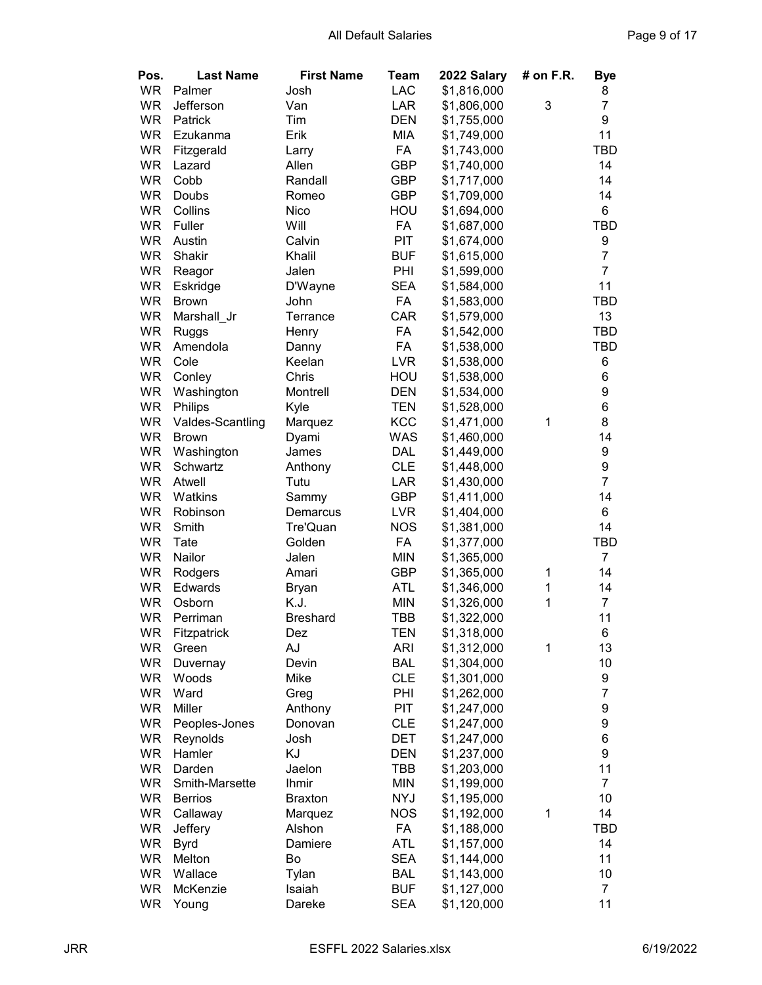| Pos.      | <b>Last Name</b>         | <b>First Name</b> | Team                     | 2022 Salary                | # on F.R.    | <b>Bye</b>            |
|-----------|--------------------------|-------------------|--------------------------|----------------------------|--------------|-----------------------|
| <b>WR</b> | Palmer                   | Josh              | <b>LAC</b>               | \$1,816,000                |              | 8                     |
| <b>WR</b> | Jefferson                | Van               | LAR                      | \$1,806,000                | 3            | $\overline{7}$        |
| <b>WR</b> | Patrick                  | Tim               | <b>DEN</b>               | \$1,755,000                |              | 9                     |
| <b>WR</b> | Ezukanma                 | Erik              | MIA                      | \$1,749,000                |              | 11                    |
| <b>WR</b> | Fitzgerald               | Larry             | FA                       | \$1,743,000                |              | TBD                   |
| <b>WR</b> | Lazard                   | Allen             | <b>GBP</b>               | \$1,740,000                |              | 14                    |
| <b>WR</b> | Cobb                     | Randall           | GBP                      | \$1,717,000                |              | 14                    |
| <b>WR</b> | Doubs                    | Romeo             | <b>GBP</b>               | \$1,709,000                |              | 14                    |
| <b>WR</b> | Collins                  | Nico              | HOU                      | \$1,694,000                |              | 6                     |
| <b>WR</b> | Fuller                   | Will              | FA                       | \$1,687,000                |              | <b>TBD</b>            |
| <b>WR</b> | Austin                   | Calvin            | PIT                      | \$1,674,000                |              | 9                     |
| <b>WR</b> | Shakir                   | Khalil            | <b>BUF</b>               | \$1,615,000                |              | $\overline{7}$        |
| <b>WR</b> | Reagor                   | Jalen             | PHI                      | \$1,599,000                |              | $\overline{7}$        |
| <b>WR</b> | Eskridge                 | D'Wayne           | <b>SEA</b>               | \$1,584,000                |              | 11                    |
| <b>WR</b> | <b>Brown</b>             | John              | FA                       | \$1,583,000                |              | <b>TBD</b>            |
| <b>WR</b> | Marshall_Jr              | Terrance          | CAR                      | \$1,579,000                |              | 13                    |
| <b>WR</b> |                          | Henry             | FA                       | \$1,542,000                |              | TBD                   |
| <b>WR</b> | <b>Ruggs</b><br>Amendola | Danny             | FA                       | \$1,538,000                |              | <b>TBD</b>            |
| <b>WR</b> | Cole                     | Keelan            | <b>LVR</b>               | \$1,538,000                |              | 6                     |
| <b>WR</b> | Conley                   | Chris             | HOU                      | \$1,538,000                |              | 6                     |
| <b>WR</b> |                          | Montrell          | <b>DEN</b>               |                            |              | $\boldsymbol{9}$      |
| <b>WR</b> | Washington               |                   |                          | \$1,534,000                |              | 6                     |
| <b>WR</b> | Philips                  | Kyle              | <b>TEN</b><br><b>KCC</b> | \$1,528,000                | $\mathbf{1}$ | 8                     |
| <b>WR</b> | Valdes-Scantling         | Marquez           | <b>WAS</b>               | \$1,471,000<br>\$1,460,000 |              | 14                    |
| <b>WR</b> | <b>Brown</b>             | Dyami             | <b>DAL</b>               |                            |              |                       |
| <b>WR</b> | Washington<br>Schwartz   | James             | <b>CLE</b>               | \$1,449,000<br>\$1,448,000 |              | 9<br>$\boldsymbol{9}$ |
| <b>WR</b> | Atwell                   | Anthony<br>Tutu   | LAR                      | \$1,430,000                |              | $\overline{7}$        |
| <b>WR</b> | Watkins                  | Sammy             | <b>GBP</b>               | \$1,411,000                |              | 14                    |
| <b>WR</b> | Robinson                 | Demarcus          | <b>LVR</b>               | \$1,404,000                |              | 6                     |
| <b>WR</b> | Smith                    | Tre'Quan          | <b>NOS</b>               | \$1,381,000                |              | 14                    |
| <b>WR</b> | Tate                     | Golden            | FA                       | \$1,377,000                |              | TBD                   |
| <b>WR</b> | Nailor                   | Jalen             | <b>MIN</b>               | \$1,365,000                |              | $\overline{7}$        |
| <b>WR</b> | Rodgers                  | Amari             | GBP                      | \$1,365,000                | 1            | 14                    |
| <b>WR</b> | Edwards                  | <b>Bryan</b>      | <b>ATL</b>               | \$1,346,000                | 1            | 14                    |
| <b>WR</b> | Osborn                   | K.J.              | <b>MIN</b>               | \$1,326,000                | $\mathbf{1}$ | $\overline{7}$        |
| <b>WR</b> | Perriman                 | <b>Breshard</b>   | <b>TBB</b>               | \$1,322,000                |              | 11                    |
| WR        | Fitzpatrick              | Dez               | <b>TEN</b>               | \$1,318,000                |              | 6                     |
| WR        | Green                    | ΑJ                | <b>ARI</b>               | \$1,312,000                | 1            | 13                    |
| WR        | Duvernay                 | Devin             | <b>BAL</b>               | \$1,304,000                |              | 10                    |
| WR        | Woods                    | Mike              | <b>CLE</b>               | \$1,301,000                |              | 9                     |
| WR        | Ward                     | Greg              | PHI                      | \$1,262,000                |              | $\overline{7}$        |
| WR        | Miller                   | Anthony           | PIT                      | \$1,247,000                |              | $\boldsymbol{9}$      |
| WR        | Peoples-Jones            | Donovan           | <b>CLE</b>               | \$1,247,000                |              | 9                     |
| <b>WR</b> | Reynolds                 | Josh              | DET                      | \$1,247,000                |              | $\,6$                 |
| WR        | Hamler                   | KJ                | <b>DEN</b>               | \$1,237,000                |              | 9                     |
| WR        | Darden                   | Jaelon            | TBB                      | \$1,203,000                |              | 11                    |
| <b>WR</b> | Smith-Marsette           | Ihmir             | <b>MIN</b>               | \$1,199,000                |              | $\overline{7}$        |
| <b>WR</b> | <b>Berrios</b>           | <b>Braxton</b>    | <b>NYJ</b>               | \$1,195,000                |              | 10                    |
| <b>WR</b> | Callaway                 | Marquez           | <b>NOS</b>               | \$1,192,000                | $\mathbf 1$  | 14                    |
| <b>WR</b> | Jeffery                  | Alshon            | FA                       | \$1,188,000                |              | TBD                   |
| <b>WR</b> | <b>Byrd</b>              | Damiere           | <b>ATL</b>               | \$1,157,000                |              | 14                    |
| <b>WR</b> | Melton                   | Bo                | <b>SEA</b>               | \$1,144,000                |              | 11                    |
| <b>WR</b> | Wallace                  | Tylan             | <b>BAL</b>               | \$1,143,000                |              | 10                    |
| <b>WR</b> | McKenzie                 | Isaiah            | <b>BUF</b>               | \$1,127,000                |              | $\overline{7}$        |
| WR        | Young                    | Dareke            | <b>SEA</b>               | \$1,120,000                |              | 11                    |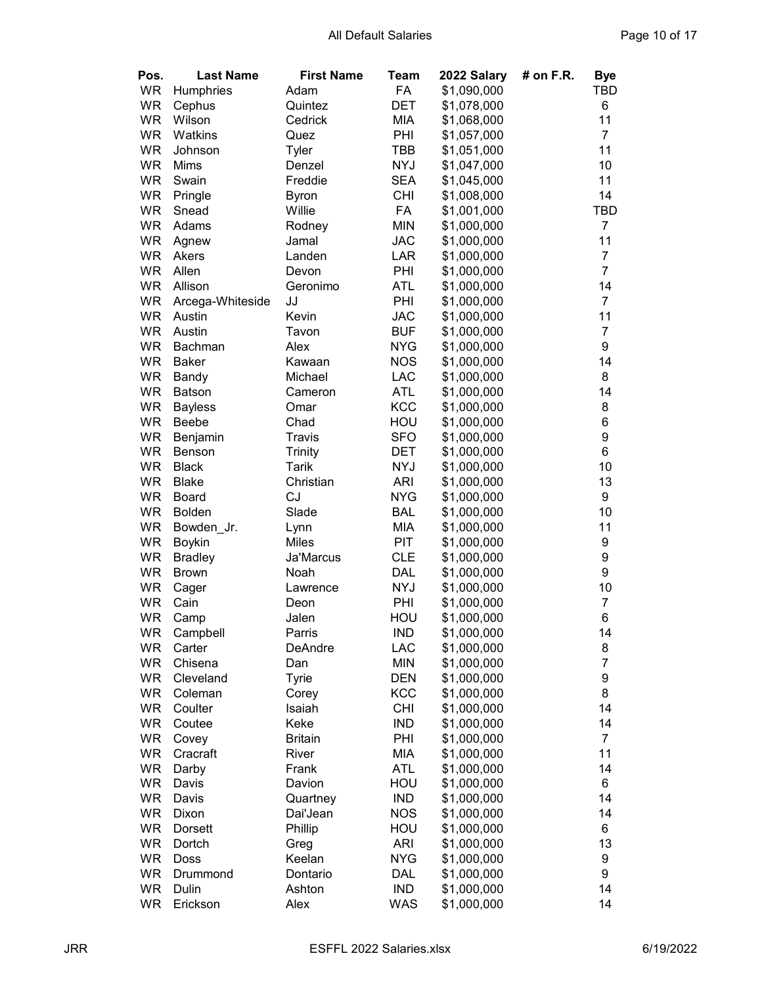| Pos.      | <b>Last Name</b>               | <b>First Name</b>       | Team       | 2022 Salary | # on F.R. | <b>Bye</b>       |
|-----------|--------------------------------|-------------------------|------------|-------------|-----------|------------------|
| <b>WR</b> | Humphries                      | Adam                    | FA         | \$1,090,000 |           | TBD              |
| <b>WR</b> | Cephus                         | Quintez                 | <b>DET</b> | \$1,078,000 |           | 6                |
| <b>WR</b> | Wilson                         | Cedrick                 | <b>MIA</b> | \$1,068,000 |           | 11               |
| <b>WR</b> | Watkins                        | Quez                    | PHI        | \$1,057,000 |           | $\overline{7}$   |
| <b>WR</b> | Johnson                        | Tyler                   | TBB        | \$1,051,000 |           | 11               |
| <b>WR</b> | Mims                           | Denzel                  | <b>NYJ</b> | \$1,047,000 |           | 10               |
| <b>WR</b> | Swain                          | Freddie                 | <b>SEA</b> | \$1,045,000 |           | 11               |
| <b>WR</b> | Pringle                        | <b>Byron</b>            | <b>CHI</b> | \$1,008,000 |           | 14               |
| <b>WR</b> | Snead                          | Willie                  | FA         | \$1,001,000 |           | TBD              |
| <b>WR</b> | Adams                          | Rodney                  | <b>MIN</b> | \$1,000,000 |           | $\overline{7}$   |
| <b>WR</b> | Agnew                          | Jamal                   | <b>JAC</b> | \$1,000,000 |           | 11               |
| <b>WR</b> | Akers                          | Landen                  | LAR        | \$1,000,000 |           | $\overline{7}$   |
| <b>WR</b> | Allen                          | Devon                   | PHI        | \$1,000,000 |           | $\overline{7}$   |
| <b>WR</b> | Allison                        | Geronimo                | <b>ATL</b> | \$1,000,000 |           | 14               |
| WR        | Arcega-Whiteside               | JJ                      | PHI        | \$1,000,000 |           | $\overline{7}$   |
| <b>WR</b> | Austin                         | Kevin                   | <b>JAC</b> | \$1,000,000 |           | 11               |
| <b>WR</b> | Austin                         | Tavon                   | <b>BUF</b> | \$1,000,000 |           | $\overline{7}$   |
| <b>WR</b> | <b>Bachman</b>                 | Alex                    | <b>NYG</b> | \$1,000,000 |           | 9                |
| <b>WR</b> | <b>Baker</b>                   | Kawaan                  | <b>NOS</b> | \$1,000,000 |           | 14               |
| <b>WR</b> | Bandy                          | Michael                 | <b>LAC</b> | \$1,000,000 |           | 8                |
| <b>WR</b> | <b>Batson</b>                  | Cameron                 | <b>ATL</b> | \$1,000,000 |           | 14               |
| <b>WR</b> |                                |                         | <b>KCC</b> | \$1,000,000 |           | 8                |
| <b>WR</b> | <b>Bayless</b><br><b>Beebe</b> | Omar<br>Chad            | HOU        | \$1,000,000 |           | 6                |
| <b>WR</b> |                                | Travis                  | <b>SFO</b> | \$1,000,000 |           | 9                |
| <b>WR</b> | Benjamin                       |                         | DET        | \$1,000,000 |           | 6                |
| <b>WR</b> | <b>Benson</b><br><b>Black</b>  | <b>Trinity</b><br>Tarik | <b>NYJ</b> | \$1,000,000 |           | 10               |
| <b>WR</b> | <b>Blake</b>                   | Christian               | <b>ARI</b> | \$1,000,000 |           | 13               |
| <b>WR</b> | Board                          | CJ                      | <b>NYG</b> | \$1,000,000 |           | 9                |
| <b>WR</b> | <b>Bolden</b>                  | Slade                   | <b>BAL</b> | \$1,000,000 |           | 10               |
| <b>WR</b> | Bowden_Jr.                     | Lynn                    | MIA        | \$1,000,000 |           | 11               |
| <b>WR</b> | Boykin                         | <b>Miles</b>            | PIT        | \$1,000,000 |           | 9                |
| <b>WR</b> | <b>Bradley</b>                 | Ja'Marcus               | <b>CLE</b> | \$1,000,000 |           | $\boldsymbol{9}$ |
| <b>WR</b> | <b>Brown</b>                   | Noah                    | DAL        | \$1,000,000 |           | 9                |
| <b>WR</b> | Cager                          | Lawrence                | <b>NYJ</b> | \$1,000,000 |           | 10               |
| <b>WR</b> | Cain                           | Deon                    | PHI        | \$1,000,000 |           | $\overline{7}$   |
| <b>WR</b> | Camp                           | Jalen                   | HOU        | \$1,000,000 |           | 6                |
| WR        | Campbell                       | Parris                  | <b>IND</b> | \$1,000,000 |           | 14               |
| <b>WR</b> | Carter                         | DeAndre                 | LAC        | \$1,000,000 |           | 8                |
| WR        | Chisena                        | Dan                     | <b>MIN</b> | \$1,000,000 |           | $\overline{7}$   |
| WR        | Cleveland                      | Tyrie                   | <b>DEN</b> | \$1,000,000 |           | 9                |
| WR        | Coleman                        | Corey                   | KCC        | \$1,000,000 |           | 8                |
| WR        | Coulter                        | Isaiah                  | <b>CHI</b> | \$1,000,000 |           | 14               |
| WR        | Coutee                         | Keke                    | <b>IND</b> | \$1,000,000 |           | 14               |
| WR        | Covey                          | <b>Britain</b>          | PHI        | \$1,000,000 |           | $\overline{7}$   |
| WR        | Cracraft                       | River                   | <b>MIA</b> | \$1,000,000 |           | 11               |
| WR        | Darby                          | Frank                   | <b>ATL</b> | \$1,000,000 |           | 14               |
| WR        | Davis                          | Davion                  | HOU        | \$1,000,000 |           | 6                |
| WR        | Davis                          | Quartney                | <b>IND</b> | \$1,000,000 |           | 14               |
| WR        | Dixon                          | Dai'Jean                | <b>NOS</b> | \$1,000,000 |           | 14               |
| <b>WR</b> | <b>Dorsett</b>                 | Phillip                 | HOU        | \$1,000,000 |           | 6                |
| WR        | Dortch                         | Greg                    | <b>ARI</b> | \$1,000,000 |           | 13               |
| WR        | Doss                           | Keelan                  | <b>NYG</b> | \$1,000,000 |           | 9                |
| <b>WR</b> |                                | Dontario                | <b>DAL</b> | \$1,000,000 |           | 9                |
| <b>WR</b> | Drummond<br>Dulin              | Ashton                  | <b>IND</b> | \$1,000,000 |           | 14               |
| <b>WR</b> | Erickson                       | Alex                    | WAS        | \$1,000,000 |           | 14               |
|           |                                |                         |            |             |           |                  |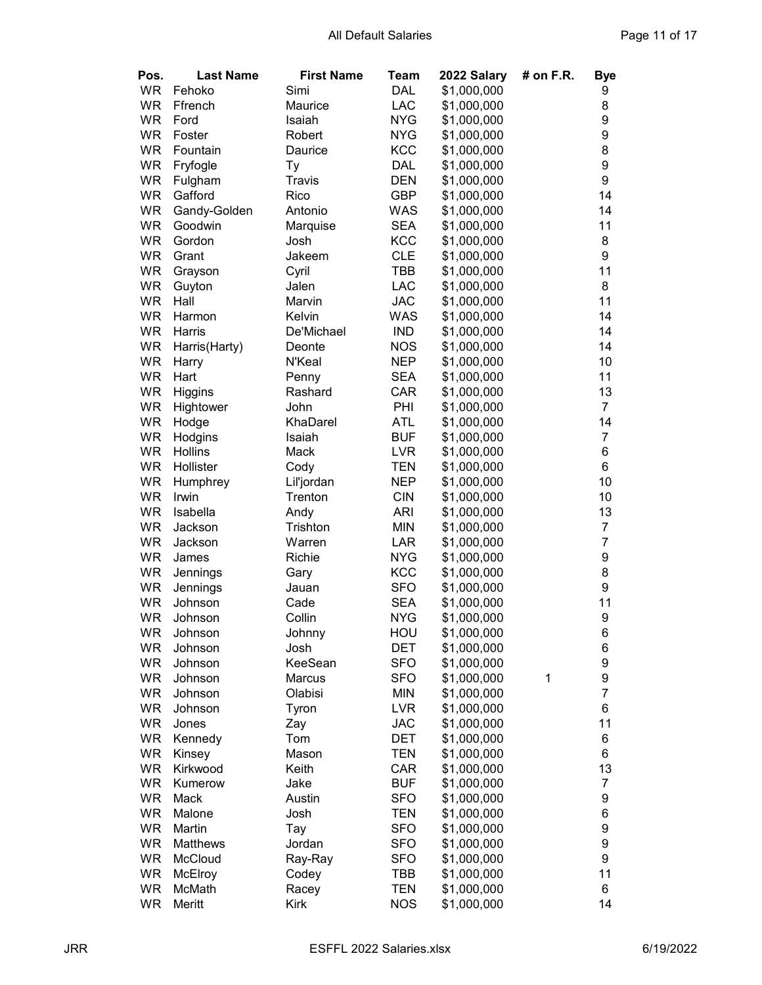| Pos.      | <b>Last Name</b> | <b>First Name</b> | Team       | 2022 Salary | $#$ on F.R. | <b>Bye</b>     |
|-----------|------------------|-------------------|------------|-------------|-------------|----------------|
| <b>WR</b> | Fehoko           | Simi              | <b>DAL</b> | \$1,000,000 |             | 9              |
| <b>WR</b> | Ffrench          | Maurice           | <b>LAC</b> | \$1,000,000 |             | 8              |
| <b>WR</b> | Ford             | Isaiah            | <b>NYG</b> | \$1,000,000 |             | 9              |
| <b>WR</b> | Foster           | Robert            | <b>NYG</b> | \$1,000,000 |             | 9              |
| <b>WR</b> | Fountain         | Daurice           | <b>KCC</b> | \$1,000,000 |             | 8              |
| <b>WR</b> | Fryfogle         | Тy                | <b>DAL</b> | \$1,000,000 |             | 9              |
| <b>WR</b> | Fulgham          | Travis            | <b>DEN</b> | \$1,000,000 |             | 9              |
| <b>WR</b> | Gafford          | Rico              | <b>GBP</b> | \$1,000,000 |             | 14             |
| <b>WR</b> | Gandy-Golden     | Antonio           | <b>WAS</b> | \$1,000,000 |             | 14             |
| <b>WR</b> | Goodwin          | Marquise          | <b>SEA</b> | \$1,000,000 |             | 11             |
| <b>WR</b> | Gordon           | Josh              | KCC        | \$1,000,000 |             | 8              |
| <b>WR</b> | Grant            | Jakeem            | <b>CLE</b> | \$1,000,000 |             | 9              |
| <b>WR</b> | Grayson          | Cyril             | <b>TBB</b> | \$1,000,000 |             | 11             |
| <b>WR</b> | Guyton           | Jalen             | <b>LAC</b> | \$1,000,000 |             | 8              |
| <b>WR</b> | Hall             | Marvin            | <b>JAC</b> | \$1,000,000 |             | 11             |
| <b>WR</b> | Harmon           | Kelvin            | <b>WAS</b> | \$1,000,000 |             | 14             |
| <b>WR</b> | Harris           | De'Michael        | <b>IND</b> | \$1,000,000 |             | 14             |
| WR        | Harris(Harty)    | Deonte            | <b>NOS</b> | \$1,000,000 |             | 14             |
| <b>WR</b> | Harry            | N'Keal            | <b>NEP</b> | \$1,000,000 |             | 10             |
| <b>WR</b> | Hart             | Penny             | <b>SEA</b> | \$1,000,000 |             | 11             |
| WR        | Higgins          | Rashard           | CAR        | \$1,000,000 |             | 13             |
| <b>WR</b> | Hightower        | John              | PHI        | \$1,000,000 |             | $\overline{7}$ |
| <b>WR</b> | Hodge            | KhaDarel          | <b>ATL</b> | \$1,000,000 |             | 14             |
| <b>WR</b> | Hodgins          | Isaiah            | <b>BUF</b> | \$1,000,000 |             | $\overline{7}$ |
| <b>WR</b> | <b>Hollins</b>   | Mack              | <b>LVR</b> | \$1,000,000 |             | 6              |
| <b>WR</b> | Hollister        | Cody              | <b>TEN</b> | \$1,000,000 |             | 6              |
| <b>WR</b> | Humphrey         | Lil'jordan        | <b>NEP</b> | \$1,000,000 |             | 10             |
| <b>WR</b> | Irwin            | Trenton           | <b>CIN</b> | \$1,000,000 |             | 10             |
| <b>WR</b> | Isabella         | Andy              | <b>ARI</b> | \$1,000,000 |             | 13             |
| <b>WR</b> | Jackson          | Trishton          | <b>MIN</b> | \$1,000,000 |             | $\overline{7}$ |
| <b>WR</b> | Jackson          | Warren            | LAR        | \$1,000,000 |             | $\overline{7}$ |
| <b>WR</b> | James            | Richie            | <b>NYG</b> | \$1,000,000 |             | 9              |
| <b>WR</b> | Jennings         | Gary              | KCC        | \$1,000,000 |             | 8              |
| <b>WR</b> | Jennings         | Jauan             | <b>SFO</b> | \$1,000,000 |             | 9              |
| <b>WR</b> | Johnson          | Cade              | <b>SEA</b> | \$1,000,000 |             | 11             |
| <b>WR</b> | Johnson          | Collin            | <b>NYG</b> | \$1,000,000 |             | 9              |
| WR        | Johnson          | Johnny            | HOU        | \$1,000,000 |             | 6              |
| <b>WR</b> | Johnson          | Josh              | <b>DET</b> | \$1,000,000 |             | 6              |
| WR        | Johnson          | KeeSean           | <b>SFO</b> | \$1,000,000 |             | 9              |
| WR        | Johnson          | Marcus            | <b>SFO</b> | \$1,000,000 | 1           | 9              |
| WR        | Johnson          | Olabisi           | <b>MIN</b> | \$1,000,000 |             | $\overline{7}$ |
| WR        |                  |                   | <b>LVR</b> | \$1,000,000 |             | 6              |
| WR        | Johnson          | Tyron             |            | \$1,000,000 |             | 11             |
|           | Jones            | Zay<br>Tom        | <b>JAC</b> |             |             |                |
| WR        | Kennedy          |                   | <b>DET</b> | \$1,000,000 |             | 6              |
| WR        | Kinsey           | Mason             | <b>TEN</b> | \$1,000,000 |             | 6              |
| WR        | Kirkwood         | Keith             | CAR        | \$1,000,000 |             | 13             |
| WR        | Kumerow          | Jake              | <b>BUF</b> | \$1,000,000 |             | $\overline{7}$ |
| WR        | Mack             | Austin            | <b>SFO</b> | \$1,000,000 |             | 9              |
| WR        | Malone           | Josh              | <b>TEN</b> | \$1,000,000 |             | 6              |
| <b>WR</b> | Martin           | Tay               | <b>SFO</b> | \$1,000,000 |             | 9              |
| WR        | <b>Matthews</b>  | Jordan            | <b>SFO</b> | \$1,000,000 |             | 9              |
| WR        | McCloud          | Ray-Ray           | <b>SFO</b> | \$1,000,000 |             | 9              |
| <b>WR</b> | McElroy          | Codey             | TBB        | \$1,000,000 |             | 11             |
| <b>WR</b> | McMath           | Racey             | <b>TEN</b> | \$1,000,000 |             | 6              |
| WR        | Meritt           | Kirk              | <b>NOS</b> | \$1,000,000 |             | 14             |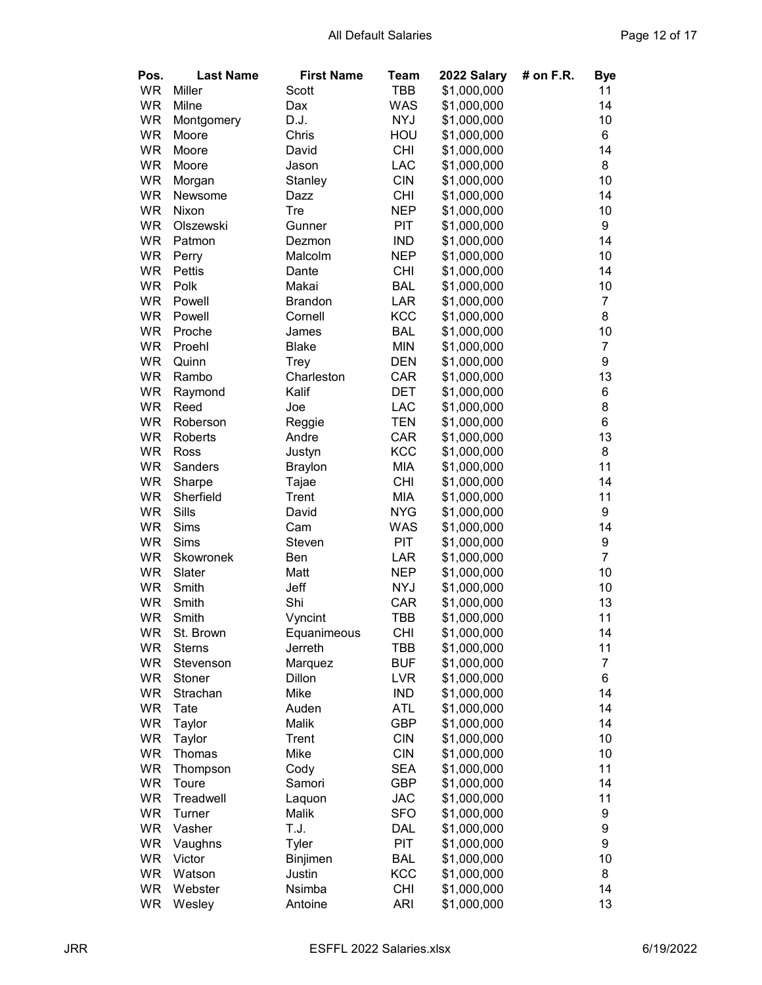| Pos.      | <b>Last Name</b> | <b>First Name</b> | Team       | 2022 Salary | # on F.R. | <b>Bye</b>     |
|-----------|------------------|-------------------|------------|-------------|-----------|----------------|
| <b>WR</b> | Miller           | Scott             | TBB        | \$1,000,000 |           | 11             |
| <b>WR</b> | Milne            | Dax               | <b>WAS</b> | \$1,000,000 |           | 14             |
| <b>WR</b> | Montgomery       | D.J.              | <b>NYJ</b> | \$1,000,000 |           | 10             |
| <b>WR</b> | Moore            | Chris             | HOU        | \$1,000,000 |           | 6              |
| <b>WR</b> | Moore            | David             | <b>CHI</b> | \$1,000,000 |           | 14             |
| <b>WR</b> | Moore            | Jason             | LAC        | \$1,000,000 |           | 8              |
| <b>WR</b> | Morgan           | Stanley           | <b>CIN</b> | \$1,000,000 |           | 10             |
| <b>WR</b> | Newsome          | Dazz              | <b>CHI</b> | \$1,000,000 |           | 14             |
| <b>WR</b> | Nixon            | Tre               | <b>NEP</b> | \$1,000,000 |           | 10             |
| <b>WR</b> | Olszewski        | Gunner            | PIT        | \$1,000,000 |           | 9              |
| <b>WR</b> | Patmon           | Dezmon            | <b>IND</b> | \$1,000,000 |           | 14             |
| <b>WR</b> | Perry            | Malcolm           | <b>NEP</b> | \$1,000,000 |           | 10             |
| <b>WR</b> | Pettis           | Dante             | <b>CHI</b> | \$1,000,000 |           | 14             |
| <b>WR</b> | Polk             | Makai             | <b>BAL</b> | \$1,000,000 |           | 10             |
| <b>WR</b> | Powell           | <b>Brandon</b>    | <b>LAR</b> | \$1,000,000 |           | $\overline{7}$ |
| <b>WR</b> | Powell           | Cornell           | <b>KCC</b> | \$1,000,000 |           | 8              |
| <b>WR</b> | Proche           | James             | <b>BAL</b> | \$1,000,000 |           | 10             |
| <b>WR</b> | Proehl           | <b>Blake</b>      | <b>MIN</b> | \$1,000,000 |           | $\overline{7}$ |
| <b>WR</b> | Quinn            | <b>Trey</b>       | <b>DEN</b> | \$1,000,000 |           | 9              |
| <b>WR</b> | Rambo            | Charleston        | CAR        | \$1,000,000 |           | 13             |
| <b>WR</b> | Raymond          | Kalif             | <b>DET</b> | \$1,000,000 |           | 6              |
| <b>WR</b> | Reed             | Joe               | <b>LAC</b> | \$1,000,000 |           | 8              |
| <b>WR</b> | Roberson         | Reggie            | <b>TEN</b> | \$1,000,000 |           | 6              |
| <b>WR</b> | Roberts          | Andre             | CAR        | \$1,000,000 |           | 13             |
| <b>WR</b> | Ross             | Justyn            | <b>KCC</b> | \$1,000,000 |           | 8              |
| <b>WR</b> | Sanders          | <b>Braylon</b>    | MIA        | \$1,000,000 |           | 11             |
| <b>WR</b> | Sharpe           | Tajae             | <b>CHI</b> | \$1,000,000 |           | 14             |
| <b>WR</b> | Sherfield        | Trent             | MIA        | \$1,000,000 |           | 11             |
| <b>WR</b> | Sills            | David             | <b>NYG</b> | \$1,000,000 |           | 9              |
| <b>WR</b> | Sims             | Cam               | <b>WAS</b> | \$1,000,000 |           | 14             |
| <b>WR</b> | Sims             | Steven            | <b>PIT</b> | \$1,000,000 |           | 9              |
| <b>WR</b> | Skowronek        | Ben               | LAR        | \$1,000,000 |           | $\overline{7}$ |
| <b>WR</b> | Slater           | Matt              | <b>NEP</b> | \$1,000,000 |           | 10             |
| <b>WR</b> | Smith            | Jeff              | <b>NYJ</b> | \$1,000,000 |           | 10             |
| <b>WR</b> | Smith            | Shi               | CAR        | \$1,000,000 |           | 13             |
| <b>WR</b> | Smith            | Vyncint           | TBB        | \$1,000,000 |           | 11             |
| WR        | St. Brown        | Equanimeous       | <b>CHI</b> | \$1,000,000 |           | 14             |
| <b>WR</b> | <b>Sterns</b>    | Jerreth           | TBB        | \$1,000,000 |           | 11             |
| WR        | Stevenson        | Marquez           | <b>BUF</b> | \$1,000,000 |           | $\overline{7}$ |
| WR        | Stoner           | Dillon            | <b>LVR</b> | \$1,000,000 |           | 6              |
| WR        | Strachan         | Mike              | <b>IND</b> | \$1,000,000 |           | 14             |
| WR        | Tate             | Auden             | <b>ATL</b> | \$1,000,000 |           | 14             |
| WR        | Taylor           | Malik             | <b>GBP</b> | \$1,000,000 |           | 14             |
| WR        | Taylor           | Trent             | <b>CIN</b> | \$1,000,000 |           | 10             |
| WR        | Thomas           | Mike              | <b>CIN</b> | \$1,000,000 |           | 10             |
| WR        | Thompson         | Cody              | <b>SEA</b> | \$1,000,000 |           | 11             |
| WR        | Toure            | Samori            | <b>GBP</b> | \$1,000,000 |           | 14             |
| WR        | Treadwell        | Laquon            | <b>JAC</b> | \$1,000,000 |           | 11             |
| WR        | Turner           | Malik             | <b>SFO</b> | \$1,000,000 |           | 9              |
| WR        | Vasher           | T.J.              | <b>DAL</b> | \$1,000,000 |           | 9              |
| WR        | Vaughns          | Tyler             | <b>PIT</b> | \$1,000,000 |           | 9              |
| WR        | Victor           | Binjimen          | <b>BAL</b> | \$1,000,000 |           | 10             |
| WR        | Watson           | Justin            | <b>KCC</b> | \$1,000,000 |           | 8              |
| <b>WR</b> | Webster          | Nsimba            | <b>CHI</b> | \$1,000,000 |           | 14             |
| WR        |                  | Antoine           | <b>ARI</b> |             |           | 13             |
|           | Wesley           |                   |            | \$1,000,000 |           |                |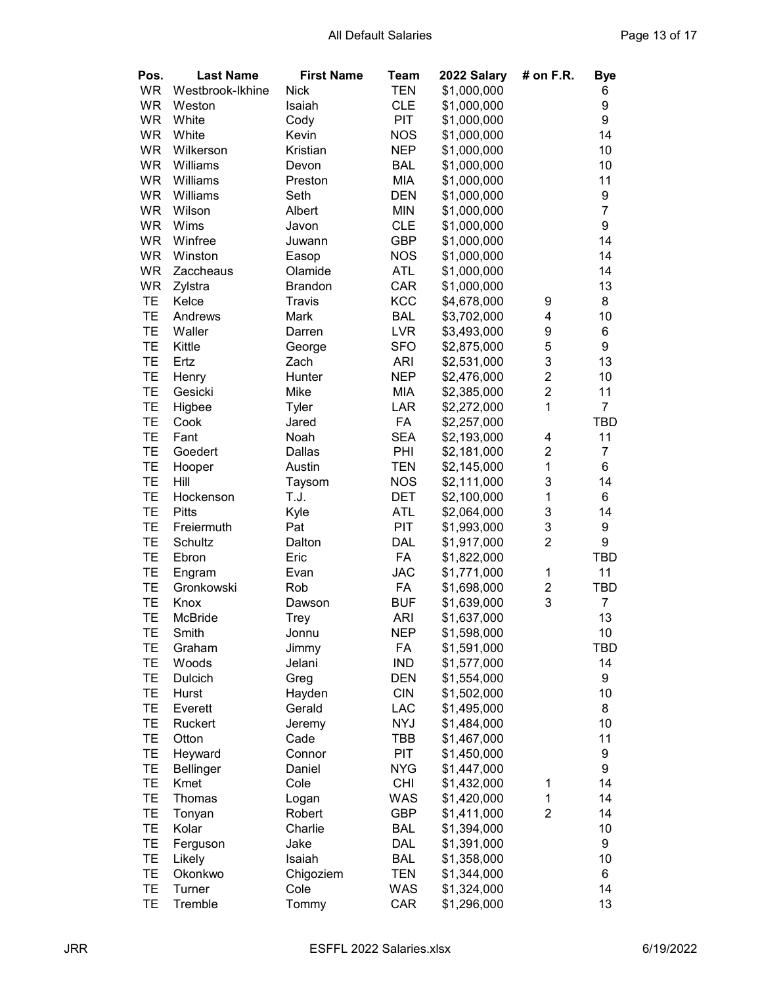| Pos.      | <b>Last Name</b> | <b>First Name</b> | Team       | 2022 Salary | # on F.R.      | Bye            |
|-----------|------------------|-------------------|------------|-------------|----------------|----------------|
| <b>WR</b> | Westbrook-Ikhine | <b>Nick</b>       | <b>TEN</b> | \$1,000,000 |                | 6              |
| <b>WR</b> | Weston           | Isaiah            | <b>CLE</b> | \$1,000,000 |                | 9              |
| <b>WR</b> | White            | Cody              | PIT        | \$1,000,000 |                | 9              |
| <b>WR</b> | White            | Kevin             | <b>NOS</b> | \$1,000,000 |                | 14             |
| <b>WR</b> | Wilkerson        | Kristian          | <b>NEP</b> | \$1,000,000 |                | 10             |
| <b>WR</b> | Williams         | Devon             | <b>BAL</b> | \$1,000,000 |                | 10             |
| <b>WR</b> | Williams         | Preston           | <b>MIA</b> | \$1,000,000 |                | 11             |
| <b>WR</b> | Williams         | Seth              | <b>DEN</b> | \$1,000,000 |                | 9              |
| <b>WR</b> | Wilson           | Albert            | <b>MIN</b> | \$1,000,000 |                | $\overline{7}$ |
| <b>WR</b> | Wims             | Javon             | <b>CLE</b> | \$1,000,000 |                | 9              |
| <b>WR</b> | Winfree          | Juwann            | <b>GBP</b> | \$1,000,000 |                | 14             |
| <b>WR</b> | Winston          | Easop             | <b>NOS</b> | \$1,000,000 |                | 14             |
| <b>WR</b> | Zaccheaus        | Olamide           | <b>ATL</b> | \$1,000,000 |                | 14             |
| WR        | Zylstra          | <b>Brandon</b>    | CAR        | \$1,000,000 |                | 13             |
| <b>TE</b> | Kelce            | Travis            | KCC        | \$4,678,000 | 9              | 8              |
| TE        | Andrews          | Mark              | <b>BAL</b> | \$3,702,000 | 4              | 10             |
| TE        | Waller           | Darren            | <b>LVR</b> | \$3,493,000 | 9              | 6              |
| TE        | Kittle           | George            | <b>SFO</b> | \$2,875,000 | 5              | 9              |
| TE        | Ertz             | Zach              | <b>ARI</b> | \$2,531,000 | 3              | 13             |
| TE        | Henry            | Hunter            | <b>NEP</b> | \$2,476,000 | $\overline{c}$ | 10             |
| TE        | Gesicki          | Mike              | MIA        | \$2,385,000 | $\overline{c}$ | 11             |
|           |                  |                   |            |             | $\overline{1}$ | $\overline{7}$ |
| TE        | Higbee           | Tyler             | <b>LAR</b> | \$2,272,000 |                |                |
| TE        | Cook             | Jared             | FA         | \$2,257,000 |                | <b>TBD</b>     |
| <b>TE</b> | Fant             | Noah              | <b>SEA</b> | \$2,193,000 | 4              | 11             |
| TE        | Goedert          | Dallas            | PHI        | \$2,181,000 | $\overline{2}$ | $\overline{7}$ |
| <b>TE</b> | Hooper           | Austin            | TEN        | \$2,145,000 | 1              | 6              |
| TE        | Hill             | Taysom            | <b>NOS</b> | \$2,111,000 | 3              | 14             |
| TE        | Hockenson        | T.J.              | DET        | \$2,100,000 | 1              | 6              |
| TE        | <b>Pitts</b>     | Kyle              | <b>ATL</b> | \$2,064,000 | 3              | 14             |
| TE        | Freiermuth       | Pat               | PIT        | \$1,993,000 | 3              | 9              |
| TE        | Schultz          | Dalton            | <b>DAL</b> | \$1,917,000 | $\overline{2}$ | 9              |
| TE        | Ebron            | Eric              | FA         | \$1,822,000 |                | <b>TBD</b>     |
| TE        | Engram           | Evan              | <b>JAC</b> | \$1,771,000 | $\mathbf 1$    | 11             |
| TE        | Gronkowski       | Rob               | FA         | \$1,698,000 | $\overline{c}$ | TBD            |
| TE        | Knox             | Dawson            | <b>BUF</b> | \$1,639,000 | 3              | 7              |
| TE        | McBride          | <b>Trey</b>       | <b>ARI</b> | \$1,637,000 |                | 13             |
| TЕ        | Smith            | Jonnu             | <b>NEP</b> | \$1,598,000 |                | 10             |
| TE        | Graham           | Jimmy             | FA         | \$1,591,000 |                | TBD            |
| TE        | Woods            | Jelani            | <b>IND</b> | \$1,577,000 |                | 14             |
| TE        | Dulcich          | Greg              | <b>DEN</b> | \$1,554,000 |                | 9              |
| TE        | Hurst            | Hayden            | <b>CIN</b> | \$1,502,000 |                | 10             |
| TE        | Everett          | Gerald            | LAC        | \$1,495,000 |                | 8              |
| TE        | Ruckert          | Jeremy            | <b>NYJ</b> | \$1,484,000 |                | 10             |
| TE        | Otton            | Cade              | TBB        | \$1,467,000 |                | 11             |
| TE        | Heyward          | Connor            | PIT        | \$1,450,000 |                | 9              |
| TE        | <b>Bellinger</b> | Daniel            | <b>NYG</b> | \$1,447,000 |                | 9              |
| TE        | Kmet             | Cole              | <b>CHI</b> | \$1,432,000 | 1              | 14             |
| TE        | Thomas           | Logan             | WAS        | \$1,420,000 | 1              | 14             |
| ТE        | Tonyan           | Robert            | <b>GBP</b> | \$1,411,000 | $\overline{2}$ | 14             |
| TE        | Kolar            | Charlie           | <b>BAL</b> | \$1,394,000 |                | 10             |
| TE        | Ferguson         | Jake              | <b>DAL</b> | \$1,391,000 |                | 9              |
| TE        | Likely           | Isaiah            | <b>BAL</b> | \$1,358,000 |                | 10             |
| TE        | Okonkwo          | Chigoziem         | <b>TEN</b> | \$1,344,000 |                | 6              |
| TE        | Turner           | Cole              | <b>WAS</b> | \$1,324,000 |                | 14             |
| TE        | Tremble          | Tommy             | CAR        | \$1,296,000 |                | 13             |
|           |                  |                   |            |             |                |                |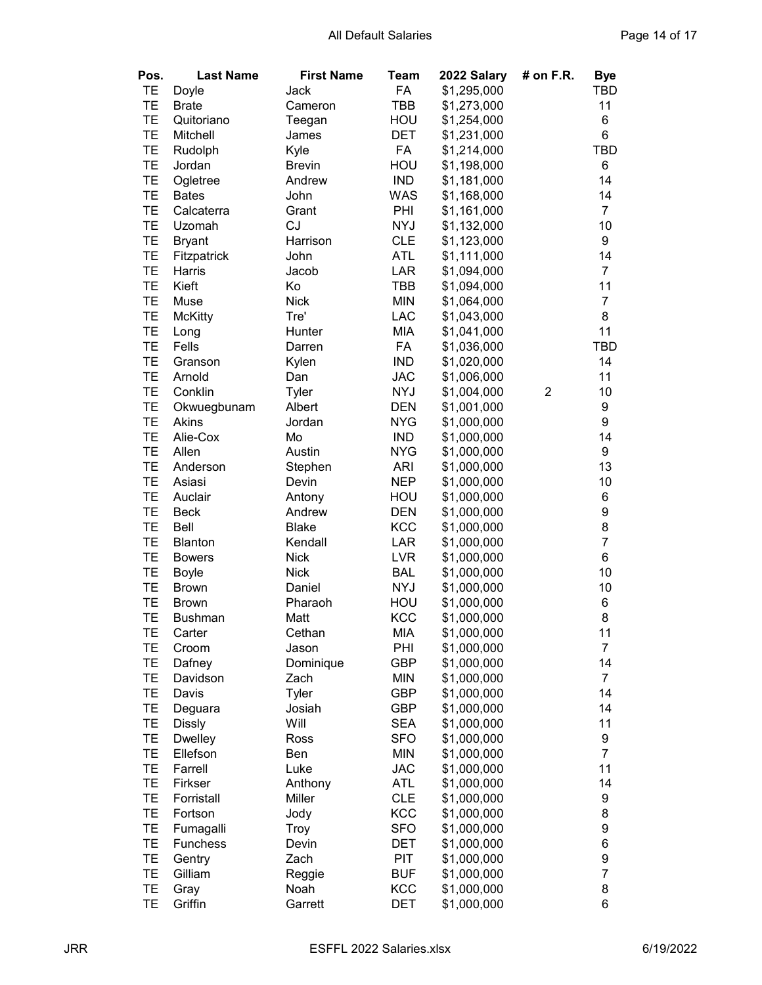| Pos.      | <b>Last Name</b> | <b>First Name</b> | Team       | 2022 Salary | # on F.R.      | <b>Bye</b>       |
|-----------|------------------|-------------------|------------|-------------|----------------|------------------|
| TE        | Doyle            | Jack              | FA         | \$1,295,000 |                | TBD              |
| TE        | <b>Brate</b>     | Cameron           | TBB        | \$1,273,000 |                | 11               |
| TE        | Quitoriano       | Teegan            | HOU        | \$1,254,000 |                | 6                |
| TE        | Mitchell         | James             | <b>DET</b> | \$1,231,000 |                | 6                |
| TE        | Rudolph          | Kyle              | FA         | \$1,214,000 |                | <b>TBD</b>       |
| TE        | Jordan           | <b>Brevin</b>     | HOU        | \$1,198,000 |                | 6                |
| TE        | Ogletree         | Andrew            | <b>IND</b> | \$1,181,000 |                | 14               |
| TE        | <b>Bates</b>     | John              | <b>WAS</b> |             |                | 14               |
| TE        | Calcaterra       |                   | PHI        | \$1,168,000 |                | $\overline{7}$   |
|           |                  | Grant             |            | \$1,161,000 |                |                  |
| TE        | Uzomah           | CJ                | <b>NYJ</b> | \$1,132,000 |                | 10               |
| TE        | <b>Bryant</b>    | Harrison          | <b>CLE</b> | \$1,123,000 |                | 9                |
| TE        | Fitzpatrick      | John              | ATL        | \$1,111,000 |                | 14               |
| TE        | Harris           | Jacob             | <b>LAR</b> | \$1,094,000 |                | $\overline{7}$   |
| TE        | Kieft            | Ko                | TBB        | \$1,094,000 |                | 11               |
| TE        | Muse             | <b>Nick</b>       | <b>MIN</b> | \$1,064,000 |                | $\overline{7}$   |
| TE        | <b>McKitty</b>   | Tre'              | <b>LAC</b> | \$1,043,000 |                | 8                |
| TE        | Long             | Hunter            | <b>MIA</b> | \$1,041,000 |                | 11               |
| TE        | Fells            | Darren            | FA         | \$1,036,000 |                | TBD              |
| TE        | Granson          | Kylen             | <b>IND</b> | \$1,020,000 |                | 14               |
| TE        | Arnold           | Dan               | <b>JAC</b> | \$1,006,000 |                | 11               |
| TE        | Conklin          | Tyler             | <b>NYJ</b> | \$1,004,000 | $\overline{2}$ | 10               |
| TE        | Okwuegbunam      | Albert            | <b>DEN</b> | \$1,001,000 |                | 9                |
| TE        | Akins            | Jordan            | <b>NYG</b> | \$1,000,000 |                | 9                |
| TE        | Alie-Cox         | Mo                | <b>IND</b> | \$1,000,000 |                | 14               |
| TE        | Allen            | Austin            | <b>NYG</b> | \$1,000,000 |                | 9                |
| TE        | Anderson         | Stephen           | <b>ARI</b> | \$1,000,000 |                | 13               |
| TE        | Asiasi           | Devin             | <b>NEP</b> | \$1,000,000 |                | 10               |
| TE        | Auclair          | Antony            | HOU        | \$1,000,000 |                | 6                |
| <b>TE</b> | <b>Beck</b>      | Andrew            | <b>DEN</b> | \$1,000,000 |                | 9                |
| <b>TE</b> | Bell             | <b>Blake</b>      | <b>KCC</b> | \$1,000,000 |                | 8                |
| TE        | <b>Blanton</b>   | Kendall           | LAR        | \$1,000,000 |                | $\overline{7}$   |
| TE        | <b>Bowers</b>    | <b>Nick</b>       | <b>LVR</b> | \$1,000,000 |                | 6                |
| TE        | <b>Boyle</b>     | <b>Nick</b>       | <b>BAL</b> | \$1,000,000 |                | 10               |
| TE        | <b>Brown</b>     | Daniel            | <b>NYJ</b> | \$1,000,000 |                | 10               |
| TE        | <b>Brown</b>     | Pharaoh           | HOU        | \$1,000,000 |                | 6                |
| TE        | <b>Bushman</b>   | Matt              | <b>KCC</b> | \$1,000,000 |                | 8                |
| TЕ        | Carter           | Cethan            | MIA        | \$1,000,000 |                | 11               |
| TE        | Croom            | Jason             | PHI        | \$1,000,000 |                | $\overline{7}$   |
| TE        | Dafney           | Dominique         | GBP        | \$1,000,000 |                | 14               |
| TE        | Davidson         | Zach              | <b>MIN</b> | \$1,000,000 |                | $\overline{7}$   |
| TE        | Davis            | Tyler             | <b>GBP</b> | \$1,000,000 |                | 14               |
| TE        | Deguara          | Josiah            | <b>GBP</b> | \$1,000,000 |                | 14               |
| TE        | <b>Dissly</b>    | Will              | <b>SEA</b> | \$1,000,000 |                | 11               |
| TE        | <b>Dwelley</b>   | Ross              | <b>SFO</b> | \$1,000,000 |                | 9                |
| TE        | Ellefson         | Ben               | <b>MIN</b> | \$1,000,000 |                | $\overline{7}$   |
| TE        | Farrell          | Luke              | <b>JAC</b> | \$1,000,000 |                | 11               |
| TE        | Firkser          | Anthony           | <b>ATL</b> | \$1,000,000 |                | 14               |
| TE        | Forristall       | Miller            | <b>CLE</b> | \$1,000,000 |                | 9                |
| TE        | Fortson          | Jody              | KCC        | \$1,000,000 |                | 8                |
| TE        | Fumagalli        | Troy              | <b>SFO</b> | \$1,000,000 |                | $\boldsymbol{9}$ |
| TE        | <b>Funchess</b>  | Devin             | DET        | \$1,000,000 |                | 6                |
| TE        | Gentry           | Zach              | PIT        | \$1,000,000 |                | $\boldsymbol{9}$ |
| TE        | Gilliam          | Reggie            | <b>BUF</b> | \$1,000,000 |                | $\overline{7}$   |
| TE        | Gray             | Noah              | KCC        | \$1,000,000 |                | 8                |
| TE        | Griffin          | Garrett           | DET        | \$1,000,000 |                | 6                |
|           |                  |                   |            |             |                |                  |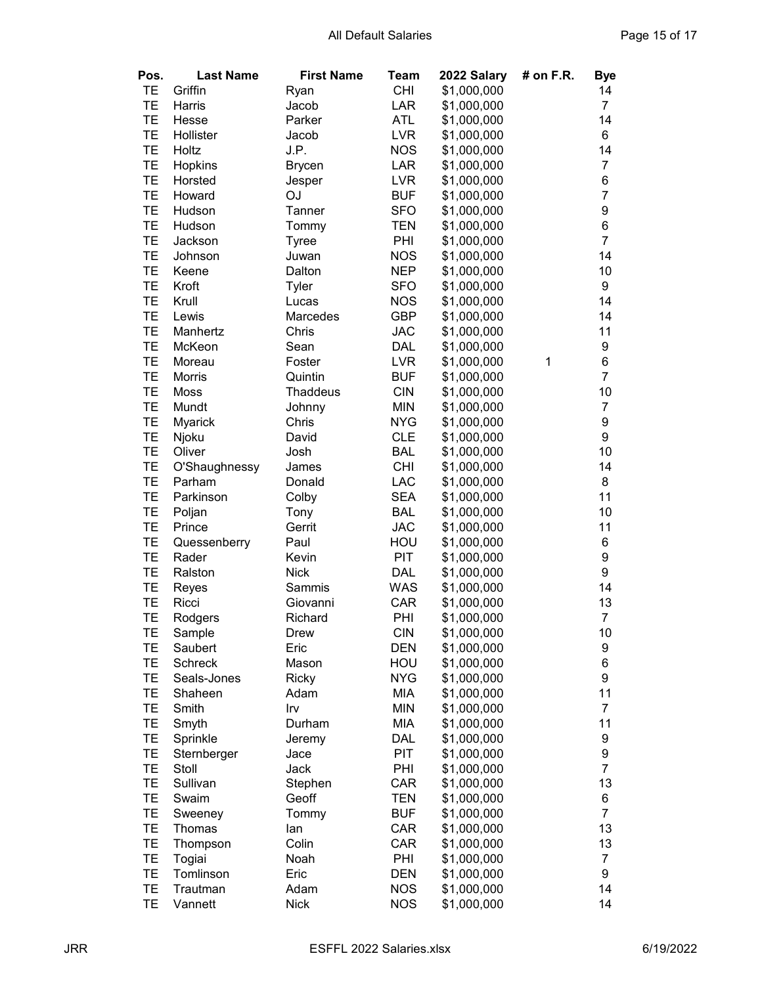| Pos.      | <b>Last Name</b> | <b>First Name</b> | Team       | 2022 Salary | # on F.R. | <b>Bye</b>     |
|-----------|------------------|-------------------|------------|-------------|-----------|----------------|
| TE        | Griffin          | Ryan              | <b>CHI</b> | \$1,000,000 |           | 14             |
| TE        | Harris           | Jacob             | LAR        | \$1,000,000 |           | $\overline{7}$ |
| TE        | Hesse            | Parker            | <b>ATL</b> | \$1,000,000 |           | 14             |
| TE        | Hollister        | Jacob             | <b>LVR</b> | \$1,000,000 |           | 6              |
| TE        | Holtz            | J.P.              | <b>NOS</b> | \$1,000,000 |           | 14             |
| TE        | Hopkins          | <b>Brycen</b>     | LAR        | \$1,000,000 |           | $\overline{7}$ |
| TE        | Horsted          | Jesper            | <b>LVR</b> | \$1,000,000 |           | 6              |
| TE        | Howard           | OJ                | <b>BUF</b> | \$1,000,000 |           | $\overline{7}$ |
| TE        | Hudson           | Tanner            | <b>SFO</b> | \$1,000,000 |           | 9              |
| TE        | Hudson           | Tommy             | <b>TEN</b> | \$1,000,000 |           | 6              |
| TE        | Jackson          | <b>Tyree</b>      | PHI        | \$1,000,000 |           | $\overline{7}$ |
| TE        | Johnson          | Juwan             | <b>NOS</b> | \$1,000,000 |           | 14             |
| TE        | Keene            | Dalton            | <b>NEP</b> | \$1,000,000 |           | 10             |
| TE        | Kroft            | Tyler             | <b>SFO</b> | \$1,000,000 |           | 9              |
| TE        | Krull            | Lucas             | <b>NOS</b> | \$1,000,000 |           | 14             |
| TE        | Lewis            | Marcedes          | <b>GBP</b> | \$1,000,000 |           | 14             |
| TE        | Manhertz         | Chris             | <b>JAC</b> | \$1,000,000 |           | 11             |
| TE        | McKeon           | Sean              | <b>DAL</b> | \$1,000,000 |           | 9              |
| TE        | Moreau           | Foster            | <b>LVR</b> | \$1,000,000 | 1         | 6              |
| TE        | <b>Morris</b>    | Quintin           | <b>BUF</b> | \$1,000,000 |           | $\overline{7}$ |
| TE        |                  |                   |            |             |           | 10             |
|           | Moss             | <b>Thaddeus</b>   | <b>CIN</b> | \$1,000,000 |           |                |
| TE        | Mundt            | Johnny            | <b>MIN</b> | \$1,000,000 |           | $\overline{7}$ |
| TE        | <b>Myarick</b>   | Chris             | <b>NYG</b> | \$1,000,000 |           | 9              |
| TE        | Njoku            | David             | <b>CLE</b> | \$1,000,000 |           | 9              |
| TE        | Oliver           | Josh              | <b>BAL</b> | \$1,000,000 |           | 10             |
| TE        | O'Shaughnessy    | James             | <b>CHI</b> | \$1,000,000 |           | 14             |
| <b>TE</b> | Parham           | Donald            | LAC        | \$1,000,000 |           | 8              |
| TE        | Parkinson        | Colby             | <b>SEA</b> | \$1,000,000 |           | 11             |
| TE        | Poljan           | Tony              | <b>BAL</b> | \$1,000,000 |           | 10             |
| TE        | Prince           | Gerrit            | <b>JAC</b> | \$1,000,000 |           | 11             |
| TE        | Quessenberry     | Paul              | HOU        | \$1,000,000 |           | 6              |
| TE        | Rader            | Kevin             | PIT        | \$1,000,000 |           | 9              |
| TE        | Ralston          | <b>Nick</b>       | DAL        | \$1,000,000 |           | 9              |
| TE        | Reyes            | Sammis            | <b>WAS</b> | \$1,000,000 |           | 14             |
| TE        | Ricci            | Giovanni          | CAR        | \$1,000,000 |           | 13             |
| TE        | Rodgers          | Richard           | PHI        | \$1,000,000 |           | $\overline{7}$ |
| TЕ        | Sample           | Drew              | <b>CIN</b> | \$1,000,000 |           | 10             |
| TE        | Saubert          | Eric              | <b>DEN</b> | \$1,000,000 |           | 9              |
| TE        | <b>Schreck</b>   | Mason             | HOU        | \$1,000,000 |           | 6              |
| TE        | Seals-Jones      | <b>Ricky</b>      | <b>NYG</b> | \$1,000,000 |           | 9              |
| TE        | Shaheen          | Adam              | <b>MIA</b> | \$1,000,000 |           | 11             |
| TE        | Smith            | Irv               | <b>MIN</b> | \$1,000,000 |           | $\overline{7}$ |
| TE        | Smyth            | Durham            | <b>MIA</b> | \$1,000,000 |           | 11             |
| TE        | Sprinkle         | Jeremy            | DAL        | \$1,000,000 |           | 9              |
| TE        | Sternberger      | Jace              | <b>PIT</b> | \$1,000,000 |           | 9              |
| TE        | Stoll            | Jack              | PHI        | \$1,000,000 |           | $\overline{7}$ |
| TE        | Sullivan         | Stephen           | CAR        | \$1,000,000 |           | 13             |
| TE        | Swaim            | Geoff             | <b>TEN</b> | \$1,000,000 |           | 6              |
| TE        | Sweeney          | Tommy             | <b>BUF</b> | \$1,000,000 |           | $\overline{7}$ |
| TE        | Thomas           | lan               | CAR        | \$1,000,000 |           | 13             |
| TE        | Thompson         | Colin             | CAR        | \$1,000,000 |           | 13             |
| TE        | Togiai           | Noah              | PHI        | \$1,000,000 |           | $\overline{7}$ |
| TE        | Tomlinson        | Eric              | <b>DEN</b> | \$1,000,000 |           | 9              |
| TE        | Trautman         | Adam              | <b>NOS</b> | \$1,000,000 |           | 14             |
| TE        | Vannett          | <b>Nick</b>       | <b>NOS</b> | \$1,000,000 |           | 14             |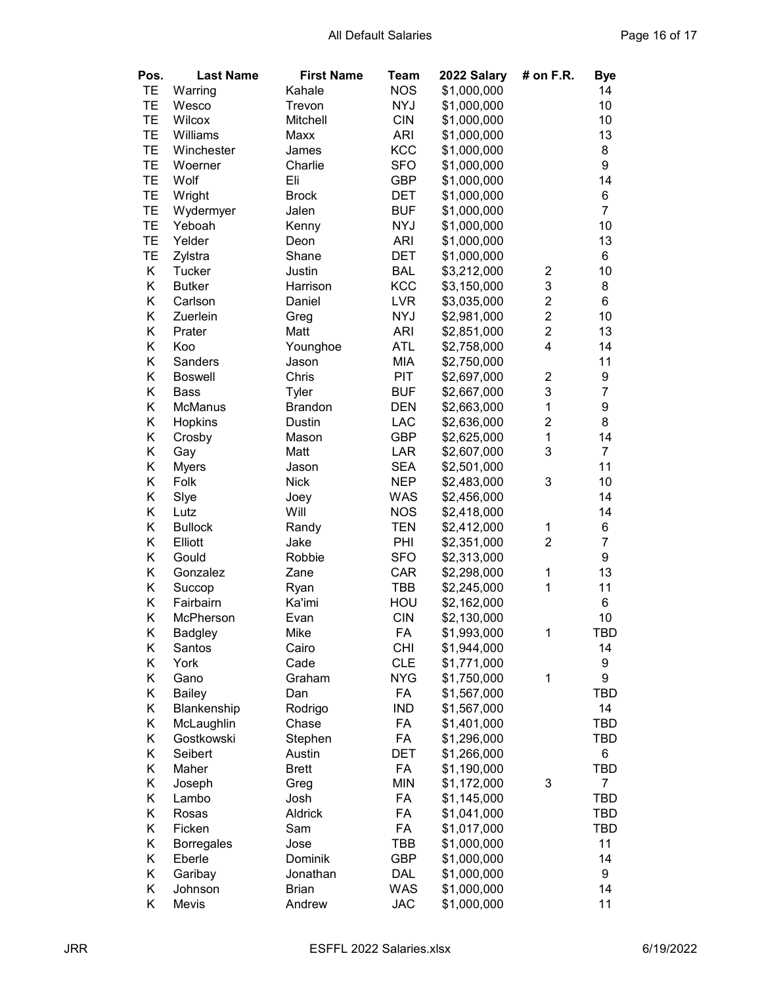| Pos.      | <b>Last Name</b>  | <b>First Name</b> | <b>Team</b> | 2022 Salary                | # on F.R.               | <b>Bye</b>     |
|-----------|-------------------|-------------------|-------------|----------------------------|-------------------------|----------------|
| TE        | Warring           | Kahale            | <b>NOS</b>  | \$1,000,000                |                         | 14             |
| TE        | Wesco             | Trevon            | <b>NYJ</b>  | \$1,000,000                |                         | 10             |
| TE        | Wilcox            | Mitchell          | <b>CIN</b>  | \$1,000,000                |                         | 10             |
| <b>TE</b> | Williams          | Maxx              | <b>ARI</b>  | \$1,000,000                |                         | 13             |
| <b>TE</b> | Winchester        | James             | <b>KCC</b>  | \$1,000,000                |                         | 8              |
| TE        | Woerner           | Charlie           | <b>SFO</b>  | \$1,000,000                |                         | 9              |
| TE        | Wolf              | Eli               | <b>GBP</b>  | \$1,000,000                |                         | 14             |
| TE        | Wright            | <b>Brock</b>      | <b>DET</b>  | \$1,000,000                |                         | 6              |
| TE        | Wydermyer         | Jalen             | <b>BUF</b>  | \$1,000,000                |                         | $\overline{7}$ |
| TE        | Yeboah            | Kenny             | <b>NYJ</b>  | \$1,000,000                |                         | 10             |
| TE        | Yelder            | Deon              | <b>ARI</b>  | \$1,000,000                |                         | 13             |
| TE        | Zylstra           | Shane             | DET         | \$1,000,000                |                         | 6              |
| Κ         | <b>Tucker</b>     | Justin            | <b>BAL</b>  | \$3,212,000                | $\overline{c}$          | 10             |
| Κ         | <b>Butker</b>     | Harrison          | KCC         | \$3,150,000                | 3                       | 8              |
| Κ         | Carlson           | Daniel            | <b>LVR</b>  | \$3,035,000                | $\overline{\mathbf{c}}$ | 6              |
| Κ         | Zuerlein          | Greg              | <b>NYJ</b>  | \$2,981,000                | $\overline{c}$          | 10             |
| Κ         | Prater            | Matt              | <b>ARI</b>  | \$2,851,000                | $\overline{c}$          | 13             |
| Κ         | Koo               | Younghoe          | <b>ATL</b>  | \$2,758,000                | 4                       | 14             |
| Κ         | Sanders           | Jason             | <b>MIA</b>  | \$2,750,000                |                         | 11             |
| Κ         | <b>Boswell</b>    | Chris             | PIT         | \$2,697,000                | $\overline{c}$          | 9              |
| Κ         | Bass              | Tyler             | <b>BUF</b>  | \$2,667,000                | 3                       | $\overline{7}$ |
| Κ         | McManus           | <b>Brandon</b>    | <b>DEN</b>  | \$2,663,000                | $\mathbf{1}$            | 9              |
| Κ         | Hopkins           | <b>Dustin</b>     | <b>LAC</b>  | \$2,636,000                | $\overline{c}$          | 8              |
| Κ         | Crosby            | Mason             | <b>GBP</b>  | \$2,625,000                | $\mathbf{1}$            | 14             |
| Κ         | Gay               | Matt              | LAR         | \$2,607,000                | 3                       | $\overline{7}$ |
| Κ         | <b>Myers</b>      | Jason             | <b>SEA</b>  | \$2,501,000                |                         | 11             |
| Κ         | Folk              | <b>Nick</b>       | <b>NEP</b>  | \$2,483,000                | 3                       | 10             |
| Κ         | Slye              | Joey              | <b>WAS</b>  | \$2,456,000                |                         | 14             |
| Κ         | Lutz              | Will              | <b>NOS</b>  | \$2,418,000                |                         | 14             |
| Κ         | <b>Bullock</b>    | Randy             | TEN         | \$2,412,000                | 1                       | 6              |
| Κ         | Elliott           | Jake              | PHI         | \$2,351,000                | $\overline{2}$          | $\overline{7}$ |
| Κ         | Gould             | Robbie            | <b>SFO</b>  | \$2,313,000                |                         | 9              |
| Κ         | Gonzalez          | Zane              | CAR         | \$2,298,000                | 1                       | 13             |
| Κ         | Succop            | Ryan              | TBB         | \$2,245,000                | 1                       | 11             |
| Κ         | Fairbairn         | Ka'imi            | HOU         | \$2,162,000                |                         | 6              |
| Κ         | McPherson         | Evan              | <b>CIN</b>  | \$2,130,000                |                         | 10             |
| Κ         | <b>Badgley</b>    | Mike              | FA          | \$1,993,000                | $\mathbf{1}$            | TBD            |
| Κ         | Santos            | Cairo             | <b>CHI</b>  | \$1,944,000                |                         | 14             |
| Κ         | York              | Cade              | <b>CLE</b>  | \$1,771,000                |                         | 9              |
| Κ         | Gano              | Graham            | <b>NYG</b>  | \$1,750,000                | 1                       | 9              |
| Κ         | <b>Bailey</b>     | Dan               | FA          | \$1,567,000                |                         | TBD            |
| Κ         | Blankenship       | Rodrigo           | <b>IND</b>  | \$1,567,000                |                         | 14             |
| Κ         | McLaughlin        | Chase             | FA          | \$1,401,000                |                         | TBD            |
| Κ         | Gostkowski        | Stephen           | FA          | \$1,296,000                |                         | TBD            |
| Κ         | Seibert           | Austin            | DET         | \$1,266,000                |                         | 6              |
| Κ         | Maher             | <b>Brett</b>      | FA          | \$1,190,000                |                         | TBD            |
| Κ         | Joseph            | Greg              | <b>MIN</b>  | \$1,172,000                | 3                       | $\overline{7}$ |
| Κ         | Lambo             | Josh              | FA          | \$1,145,000                |                         | TBD            |
| Κ         | Rosas             | Aldrick           | FA          |                            |                         |                |
| Κ         | Ficken            |                   | FA          | \$1,041,000<br>\$1,017,000 |                         | TBD            |
| Κ         |                   | Sam<br>Jose       | TBB         |                            |                         | TBD<br>11      |
| Κ         | <b>Borregales</b> | Dominik           |             | \$1,000,000                |                         | 14             |
|           | Eberle            |                   | <b>GBP</b>  | \$1,000,000                |                         |                |
| Κ         | Garibay           | Jonathan          | <b>DAL</b>  | \$1,000,000                |                         | 9              |
| Κ         | Johnson           | <b>Brian</b>      | <b>WAS</b>  | \$1,000,000                |                         | 14             |
| Κ         | Mevis             | Andrew            | <b>JAC</b>  | \$1,000,000                |                         | 11             |